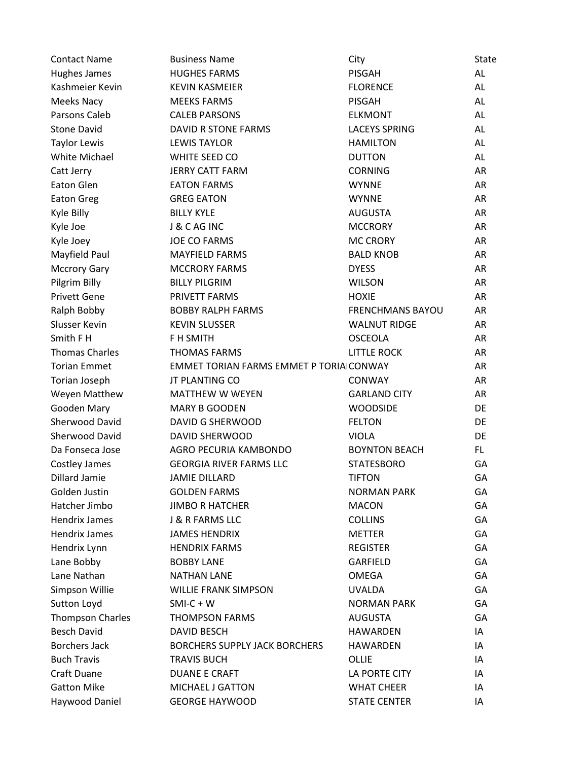| <b>Contact Name</b>     | <b>Business Name</b>                    | City                    | <b>State</b> |
|-------------------------|-----------------------------------------|-------------------------|--------------|
| Hughes James            | <b>HUGHES FARMS</b>                     | <b>PISGAH</b>           | AL           |
| Kashmeier Kevin         | <b>KEVIN KASMEIER</b>                   | <b>FLORENCE</b>         | AL           |
| Meeks Nacy              | <b>MEEKS FARMS</b>                      | <b>PISGAH</b>           | AL           |
| Parsons Caleb           | <b>CALEB PARSONS</b>                    | <b>ELKMONT</b>          | AL           |
| <b>Stone David</b>      | DAVID R STONE FARMS                     | <b>LACEYS SPRING</b>    | AL           |
| <b>Taylor Lewis</b>     | <b>LEWIS TAYLOR</b>                     | <b>HAMILTON</b>         | AL           |
| White Michael           | WHITE SEED CO                           | <b>DUTTON</b>           | AL           |
| Catt Jerry              | <b>JERRY CATT FARM</b>                  | <b>CORNING</b>          | AR           |
| Eaton Glen              | <b>EATON FARMS</b>                      | <b>WYNNE</b>            | AR           |
| <b>Eaton Greg</b>       | <b>GREG EATON</b>                       | <b>WYNNE</b>            | AR           |
| Kyle Billy              | <b>BILLY KYLE</b>                       | <b>AUGUSTA</b>          | AR           |
| Kyle Joe                | J & C AG INC                            | <b>MCCRORY</b>          | AR           |
| Kyle Joey               | <b>JOE CO FARMS</b>                     | <b>MC CRORY</b>         | AR           |
| Mayfield Paul           | <b>MAYFIELD FARMS</b>                   | <b>BALD KNOB</b>        | AR           |
| <b>Mccrory Gary</b>     | <b>MCCRORY FARMS</b>                    | <b>DYESS</b>            | AR           |
| Pilgrim Billy           | <b>BILLY PILGRIM</b>                    | <b>WILSON</b>           | AR           |
| <b>Privett Gene</b>     | PRIVETT FARMS                           | <b>HOXIE</b>            | AR           |
| Ralph Bobby             | <b>BOBBY RALPH FARMS</b>                | <b>FRENCHMANS BAYOU</b> | AR           |
| Slusser Kevin           | <b>KEVIN SLUSSER</b>                    | <b>WALNUT RIDGE</b>     | AR           |
| Smith F H               | F H SMITH                               | <b>OSCEOLA</b>          | AR           |
| <b>Thomas Charles</b>   | <b>THOMAS FARMS</b>                     | <b>LITTLE ROCK</b>      | AR           |
| <b>Torian Emmet</b>     | EMMET TORIAN FARMS EMMET P TORIA CONWAY |                         | AR           |
| Torian Joseph           | JT PLANTING CO                          | <b>CONWAY</b>           | <b>AR</b>    |
| Weyen Matthew           | <b>MATTHEW W WEYEN</b>                  | <b>GARLAND CITY</b>     | AR           |
| Gooden Mary             | <b>MARY B GOODEN</b>                    | <b>WOODSIDE</b>         | DE           |
| Sherwood David          | <b>DAVID G SHERWOOD</b>                 | <b>FELTON</b>           | DE           |
| <b>Sherwood David</b>   | <b>DAVID SHERWOOD</b>                   | <b>VIOLA</b>            | DE           |
| Da Fonseca Jose         | AGRO PECURIA KAMBONDO                   | <b>BOYNTON BEACH</b>    | FL.          |
| Costley James           | <b>GEORGIA RIVER FARMS LLC</b>          | <b>STATESBORO</b>       | GA           |
| <b>Dillard Jamie</b>    | <b>JAMIE DILLARD</b>                    | <b>TIFTON</b>           | GA           |
| Golden Justin           | <b>GOLDEN FARMS</b>                     | <b>NORMAN PARK</b>      | GA           |
| Hatcher Jimbo           | <b>JIMBO R HATCHER</b>                  | <b>MACON</b>            | GA           |
| <b>Hendrix James</b>    | J & R FARMS LLC                         | <b>COLLINS</b>          | GA           |
| <b>Hendrix James</b>    | <b>JAMES HENDRIX</b>                    | <b>METTER</b>           | GA           |
| Hendrix Lynn            | <b>HENDRIX FARMS</b>                    | <b>REGISTER</b>         | GA           |
| Lane Bobby              | <b>BOBBY LANE</b>                       | GARFIELD                | GA           |
| Lane Nathan             | <b>NATHAN LANE</b>                      | <b>OMEGA</b>            | GA           |
| Simpson Willie          | <b>WILLIE FRANK SIMPSON</b>             | <b>UVALDA</b>           | GA           |
| Sutton Loyd             | $SMI-C + W$                             | <b>NORMAN PARK</b>      | GA           |
| <b>Thompson Charles</b> | <b>THOMPSON FARMS</b>                   | <b>AUGUSTA</b>          | GA           |
| <b>Besch David</b>      | <b>DAVID BESCH</b>                      | HAWARDEN                | IA           |
| <b>Borchers Jack</b>    | <b>BORCHERS SUPPLY JACK BORCHERS</b>    | <b>HAWARDEN</b>         | IA           |
| <b>Buch Travis</b>      | <b>TRAVIS BUCH</b>                      | OLLIE                   | IA           |
| Craft Duane             | <b>DUANE E CRAFT</b>                    | LA PORTE CITY           | IA           |
| <b>Gatton Mike</b>      | MICHAEL J GATTON                        | <b>WHAT CHEER</b>       | IA           |
| Haywood Daniel          | <b>GEORGE HAYWOOD</b>                   | <b>STATE CENTER</b>     | IA           |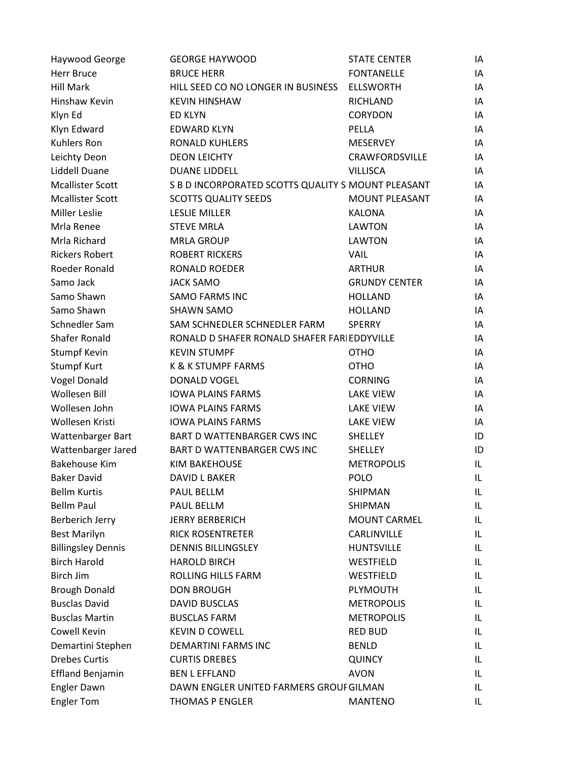| Haywood George            | <b>GEORGE HAYWOOD</b>                              | <b>STATE CENTER</b>   | IA  |
|---------------------------|----------------------------------------------------|-----------------------|-----|
| <b>Herr Bruce</b>         | <b>BRUCE HERR</b>                                  | <b>FONTANELLE</b>     | IA  |
| <b>Hill Mark</b>          | HILL SEED CO NO LONGER IN BUSINESS                 | <b>ELLSWORTH</b>      | IA  |
| Hinshaw Kevin             | <b>KEVIN HINSHAW</b>                               | <b>RICHLAND</b>       | IA  |
| Klyn Ed                   | <b>ED KLYN</b>                                     | CORYDON               | IA  |
| Klyn Edward               | <b>EDWARD KLYN</b>                                 | PELLA                 | IA  |
| <b>Kuhlers Ron</b>        | <b>RONALD KUHLERS</b>                              | <b>MESERVEY</b>       | IA  |
| Leichty Deon              | <b>DEON LEICHTY</b>                                | CRAWFORDSVILLE        | IA  |
| Liddell Duane             | <b>DUANE LIDDELL</b>                               | <b>VILLISCA</b>       | IA  |
| <b>Mcallister Scott</b>   | S B D INCORPORATED SCOTTS QUALITY S MOUNT PLEASANT |                       | IA  |
| <b>Mcallister Scott</b>   | <b>SCOTTS QUALITY SEEDS</b>                        | <b>MOUNT PLEASANT</b> | IA  |
| <b>Miller Leslie</b>      | <b>LESLIE MILLER</b>                               | <b>KALONA</b>         | IA  |
| Mrla Renee                | <b>STEVE MRLA</b>                                  | LAWTON                | IA. |
| Mrla Richard              | <b>MRLA GROUP</b>                                  | <b>LAWTON</b>         | IA  |
| <b>Rickers Robert</b>     | <b>ROBERT RICKERS</b>                              | <b>VAIL</b>           | IA  |
| Roeder Ronald             | RONALD ROEDER                                      | <b>ARTHUR</b>         | IA  |
| Samo Jack                 | <b>JACK SAMO</b>                                   | <b>GRUNDY CENTER</b>  | IA  |
| Samo Shawn                | <b>SAMO FARMS INC</b>                              | <b>HOLLAND</b>        | IA  |
| Samo Shawn                | <b>SHAWN SAMO</b>                                  | <b>HOLLAND</b>        | IA  |
| Schnedler Sam             | SAM SCHNEDLER SCHNEDLER FARM                       | <b>SPERRY</b>         | IA  |
| <b>Shafer Ronald</b>      | RONALD D SHAFER RONALD SHAFER FARI EDDYVILLE       |                       | IA  |
| Stumpf Kevin              | <b>KEVIN STUMPF</b>                                | <b>OTHO</b>           | IA  |
| <b>Stumpf Kurt</b>        | K & K STUMPF FARMS                                 | <b>OTHO</b>           | IA  |
| <b>Vogel Donald</b>       | DONALD VOGEL                                       | <b>CORNING</b>        | IA  |
| <b>Wollesen Bill</b>      | <b>IOWA PLAINS FARMS</b>                           | LAKE VIEW             | IA  |
| Wollesen John             | <b>IOWA PLAINS FARMS</b>                           | <b>LAKE VIEW</b>      | IA  |
| Wollesen Kristi           | <b>IOWA PLAINS FARMS</b>                           | <b>LAKE VIEW</b>      | IA  |
| Wattenbarger Bart         | <b>BART D WATTENBARGER CWS INC</b>                 | <b>SHELLEY</b>        | ID  |
| Wattenbarger Jared        | BART D WATTENBARGER CWS INC                        | <b>SHELLEY</b>        | ID  |
| <b>Bakehouse Kim</b>      | <b>KIM BAKEHOUSE</b>                               | <b>METROPOLIS</b>     | IL  |
| <b>Baker David</b>        | DAVID L BAKER                                      | <b>POLO</b>           | IL  |
| <b>Bellm Kurtis</b>       | PAUL BELLM                                         | SHIPMAN               | IL. |
| <b>Bellm Paul</b>         | PAUL BELLM                                         | SHIPMAN               | IL. |
| Berberich Jerry           | <b>JERRY BERBERICH</b>                             | <b>MOUNT CARMEL</b>   | IL  |
| <b>Best Marilyn</b>       | <b>RICK ROSENTRETER</b>                            | CARLINVILLE           | IL. |
| <b>Billingsley Dennis</b> | <b>DENNIS BILLINGSLEY</b>                          | <b>HUNTSVILLE</b>     | IL. |
| <b>Birch Harold</b>       | <b>HAROLD BIRCH</b>                                | WESTFIELD             | IL. |
| Birch Jim                 | ROLLING HILLS FARM                                 | WESTFIELD             | IL. |
| <b>Brough Donald</b>      | <b>DON BROUGH</b>                                  | PLYMOUTH              | IL  |
| <b>Busclas David</b>      | <b>DAVID BUSCLAS</b>                               | <b>METROPOLIS</b>     | IL  |
| <b>Busclas Martin</b>     | <b>BUSCLAS FARM</b>                                | <b>METROPOLIS</b>     | IL  |
| Cowell Kevin              | <b>KEVIN D COWELL</b>                              | <b>RED BUD</b>        | IL. |
| Demartini Stephen         | DEMARTINI FARMS INC                                | <b>BENLD</b>          | IL  |
| <b>Drebes Curtis</b>      | <b>CURTIS DREBES</b>                               | <b>QUINCY</b>         | IL  |
| <b>Effland Benjamin</b>   | <b>BEN L EFFLAND</b>                               | <b>AVON</b>           | IL  |
| <b>Engler Dawn</b>        | DAWN ENGLER UNITED FARMERS GROUI GILMAN            |                       | IL  |
| <b>Engler Tom</b>         | THOMAS P ENGLER                                    | <b>MANTENO</b>        | IL. |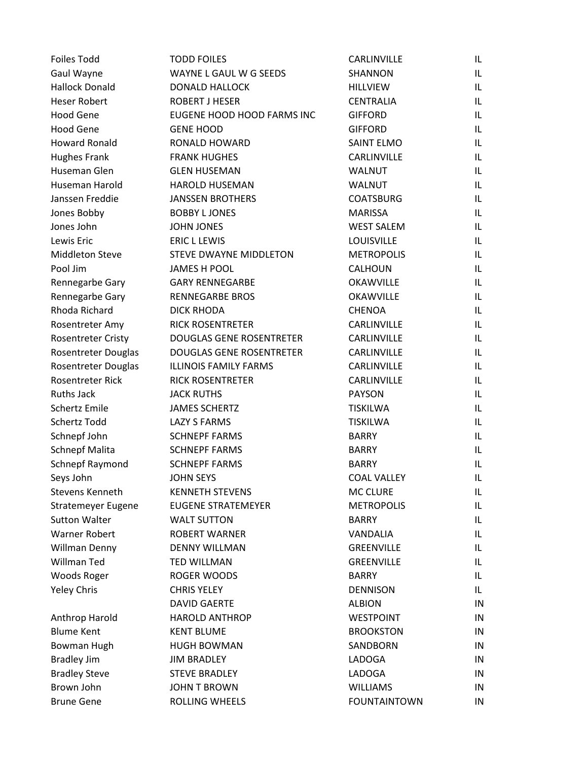| <b>Foiles Todd</b>        | <b>TODD FOILES</b>              | CARLINVILLE         | IL. |
|---------------------------|---------------------------------|---------------------|-----|
| Gaul Wayne                | WAYNE L GAUL W G SEEDS          | <b>SHANNON</b>      | IL  |
| <b>Hallock Donald</b>     | <b>DONALD HALLOCK</b>           | <b>HILLVIEW</b>     | IL  |
| <b>Heser Robert</b>       | <b>ROBERT J HESER</b>           | <b>CENTRALIA</b>    | IL  |
| <b>Hood Gene</b>          | EUGENE HOOD HOOD FARMS INC      | <b>GIFFORD</b>      | IL  |
| <b>Hood Gene</b>          | <b>GENE HOOD</b>                | <b>GIFFORD</b>      | IL  |
| <b>Howard Ronald</b>      | RONALD HOWARD                   | <b>SAINT ELMO</b>   | IL  |
| <b>Hughes Frank</b>       | <b>FRANK HUGHES</b>             | CARLINVILLE         | IL  |
| Huseman Glen              | <b>GLEN HUSEMAN</b>             | <b>WALNUT</b>       | IL  |
| Huseman Harold            | <b>HAROLD HUSEMAN</b>           | WALNUT              | IL  |
| Janssen Freddie           | <b>JANSSEN BROTHERS</b>         | <b>COATSBURG</b>    | IL  |
| Jones Bobby               | <b>BOBBY L JONES</b>            | <b>MARISSA</b>      | IL  |
| Jones John                | <b>JOHN JONES</b>               | <b>WEST SALEM</b>   | IL  |
| Lewis Eric                | <b>ERIC L LEWIS</b>             | LOUISVILLE          | IL  |
| <b>Middleton Steve</b>    | STEVE DWAYNE MIDDLETON          | <b>METROPOLIS</b>   | IL  |
| Pool Jim                  | <b>JAMES H POOL</b>             | CALHOUN             | IL  |
| Rennegarbe Gary           | <b>GARY RENNEGARBE</b>          | <b>OKAWVILLE</b>    | IL  |
| Rennegarbe Gary           | <b>RENNEGARBE BROS</b>          | <b>OKAWVILLE</b>    | IL  |
| Rhoda Richard             | <b>DICK RHODA</b>               | <b>CHENOA</b>       | IL  |
| Rosentreter Amy           | <b>RICK ROSENTRETER</b>         | CARLINVILLE         | IL  |
| <b>Rosentreter Cristy</b> | <b>DOUGLAS GENE ROSENTRETER</b> | CARLINVILLE         | IL  |
| Rosentreter Douglas       | <b>DOUGLAS GENE ROSENTRETER</b> | CARLINVILLE         | IL  |
| Rosentreter Douglas       | <b>ILLINOIS FAMILY FARMS</b>    | CARLINVILLE         | IL  |
| Rosentreter Rick          | <b>RICK ROSENTRETER</b>         | CARLINVILLE         | IL  |
| <b>Ruths Jack</b>         | <b>JACK RUTHS</b>               | <b>PAYSON</b>       | IL  |
| <b>Schertz Emile</b>      | <b>JAMES SCHERTZ</b>            | <b>TISKILWA</b>     | IL  |
| <b>Schertz Todd</b>       | <b>LAZY S FARMS</b>             | <b>TISKILWA</b>     | IL  |
| Schnepf John              | <b>SCHNEPF FARMS</b>            | <b>BARRY</b>        | IL  |
| <b>Schnepf Malita</b>     | <b>SCHNEPF FARMS</b>            | <b>BARRY</b>        | IL  |
| Schnepf Raymond           | <b>SCHNEPF FARMS</b>            | <b>BARRY</b>        | IL  |
| Seys John                 | <b>JOHN SEYS</b>                | <b>COAL VALLEY</b>  | IL  |
| <b>Stevens Kenneth</b>    | <b>KENNETH STEVENS</b>          | MC CLURE            | IL. |
| <b>Stratemeyer Eugene</b> | <b>EUGENE STRATEMEYER</b>       | <b>METROPOLIS</b>   | IL  |
| <b>Sutton Walter</b>      | <b>WALT SUTTON</b>              | <b>BARRY</b>        | IL  |
| <b>Warner Robert</b>      | <b>ROBERT WARNER</b>            | VANDALIA            | IL  |
| Willman Denny             | <b>DENNY WILLMAN</b>            | <b>GREENVILLE</b>   | IL  |
| Willman Ted               | <b>TED WILLMAN</b>              | <b>GREENVILLE</b>   | IL  |
| Woods Roger               | ROGER WOODS                     | <b>BARRY</b>        | IL  |
| <b>Yeley Chris</b>        | <b>CHRIS YELEY</b>              | <b>DENNISON</b>     | IL  |
|                           | <b>DAVID GAERTE</b>             | <b>ALBION</b>       | IN  |
| Anthrop Harold            | <b>HAROLD ANTHROP</b>           | <b>WESTPOINT</b>    | IN  |
| <b>Blume Kent</b>         | <b>KENT BLUME</b>               | <b>BROOKSTON</b>    | IN  |
| Bowman Hugh               | <b>HUGH BOWMAN</b>              | SANDBORN            | IN  |
| <b>Bradley Jim</b>        | <b>JIM BRADLEY</b>              | LADOGA              | IN  |
| <b>Bradley Steve</b>      | <b>STEVE BRADLEY</b>            | LADOGA              | IN  |
| Brown John                | <b>JOHN T BROWN</b>             | <b>WILLIAMS</b>     | IN  |
| <b>Brune Gene</b>         | ROLLING WHEELS                  | <b>FOUNTAINTOWN</b> | IN  |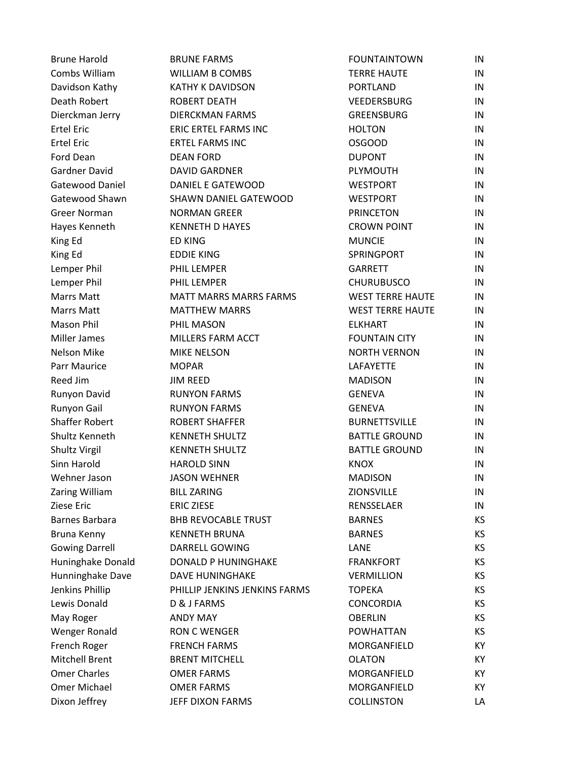| <b>Brune Harold</b>   | <b>BRUNE FARMS</b>            | <b>FOUNTAINTOWN</b>     | IN  |
|-----------------------|-------------------------------|-------------------------|-----|
| Combs William         | <b>WILLIAM B COMBS</b>        | <b>TERRE HAUTE</b>      | IN  |
| Davidson Kathy        | <b>KATHY K DAVIDSON</b>       | <b>PORTLAND</b>         | IN  |
| Death Robert          | <b>ROBERT DEATH</b>           | VEEDERSBURG             | IN  |
| Dierckman Jerry       | <b>DIERCKMAN FARMS</b>        | <b>GREENSBURG</b>       | IN  |
| <b>Ertel Eric</b>     | ERIC ERTEL FARMS INC          | <b>HOLTON</b>           | IN  |
| <b>Ertel Eric</b>     | <b>ERTEL FARMS INC</b>        | <b>OSGOOD</b>           | IN  |
| Ford Dean             | <b>DEAN FORD</b>              | <b>DUPONT</b>           | IN  |
| Gardner David         | <b>DAVID GARDNER</b>          | PLYMOUTH                | IN  |
| Gatewood Daniel       | DANIEL E GATEWOOD             | <b>WESTPORT</b>         | IN  |
| Gatewood Shawn        | SHAWN DANIEL GATEWOOD         | <b>WESTPORT</b>         | IN  |
| <b>Greer Norman</b>   | <b>NORMAN GREER</b>           | <b>PRINCETON</b>        | IN  |
| Hayes Kenneth         | <b>KENNETH D HAYES</b>        | <b>CROWN POINT</b>      | IN  |
| King Ed               | <b>ED KING</b>                | <b>MUNCIE</b>           | IN  |
| King Ed               | <b>EDDIE KING</b>             | SPRINGPORT              | IN  |
| Lemper Phil           | PHIL LEMPER                   | <b>GARRETT</b>          | IN  |
| Lemper Phil           | PHIL LEMPER                   | <b>CHURUBUSCO</b>       | IN  |
| <b>Marrs Matt</b>     | MATT MARRS MARRS FARMS        | <b>WEST TERRE HAUTE</b> | IN  |
| <b>Marrs Matt</b>     | <b>MATTHEW MARRS</b>          | <b>WEST TERRE HAUTE</b> | IN  |
| Mason Phil            | PHIL MASON                    | <b>ELKHART</b>          | IN  |
| Miller James          | MILLERS FARM ACCT             | <b>FOUNTAIN CITY</b>    | IN  |
| <b>Nelson Mike</b>    | <b>MIKE NELSON</b>            | <b>NORTH VERNON</b>     | IN  |
| Parr Maurice          | <b>MOPAR</b>                  | LAFAYETTE               | IN  |
| Reed Jim              | <b>JIM REED</b>               | <b>MADISON</b>          | IN  |
| Runyon David          | <b>RUNYON FARMS</b>           | <b>GENEVA</b>           | IN  |
| Runyon Gail           | <b>RUNYON FARMS</b>           | <b>GENEVA</b>           | IN  |
| <b>Shaffer Robert</b> | <b>ROBERT SHAFFER</b>         | <b>BURNETTSVILLE</b>    | IN  |
| Shultz Kenneth        | <b>KENNETH SHULTZ</b>         | <b>BATTLE GROUND</b>    | IN  |
| <b>Shultz Virgil</b>  | <b>KENNETH SHULTZ</b>         | <b>BATTLE GROUND</b>    | IN  |
| Sinn Harold           | <b>HAROLD SINN</b>            | <b>KNOX</b>             | IN  |
| Wehner Jason          | <b>JASON WEHNER</b>           | <b>MADISON</b>          | IN  |
| Zaring William        | <b>BILL ZARING</b>            | ZIONSVILLE              | IN  |
| Ziese Eric            | <b>ERIC ZIESE</b>             | RENSSELAER              | IN  |
| Barnes Barbara        | <b>BHB REVOCABLE TRUST</b>    | <b>BARNES</b>           | KS. |
| Bruna Kenny           | <b>KENNETH BRUNA</b>          | <b>BARNES</b>           | КS  |
| <b>Gowing Darrell</b> | DARRELL GOWING                | LANE                    | КS  |
| Huninghake Donald     | <b>DONALD P HUNINGHAKE</b>    | <b>FRANKFORT</b>        | KS. |
| Hunninghake Dave      | <b>DAVE HUNINGHAKE</b>        | <b>VERMILLION</b>       | КS  |
| Jenkins Phillip       | PHILLIP JENKINS JENKINS FARMS | <b>TOPEKA</b>           | KS. |
| Lewis Donald          | D & J FARMS                   | <b>CONCORDIA</b>        | KS. |
| May Roger             | <b>ANDY MAY</b>               | <b>OBERLIN</b>          | KS. |
| Wenger Ronald         | <b>RON C WENGER</b>           | POWHATTAN               | KS. |
| French Roger          | <b>FRENCH FARMS</b>           | MORGANFIELD             | KY. |
| <b>Mitchell Brent</b> | <b>BRENT MITCHELL</b>         | <b>OLATON</b>           | KY. |
| <b>Omer Charles</b>   | <b>OMER FARMS</b>             | MORGANFIELD             | ΚY  |
| Omer Michael          | <b>OMER FARMS</b>             | MORGANFIELD             | KY. |
| Dixon Jeffrey         | JEFF DIXON FARMS              | <b>COLLINSTON</b>       | LA  |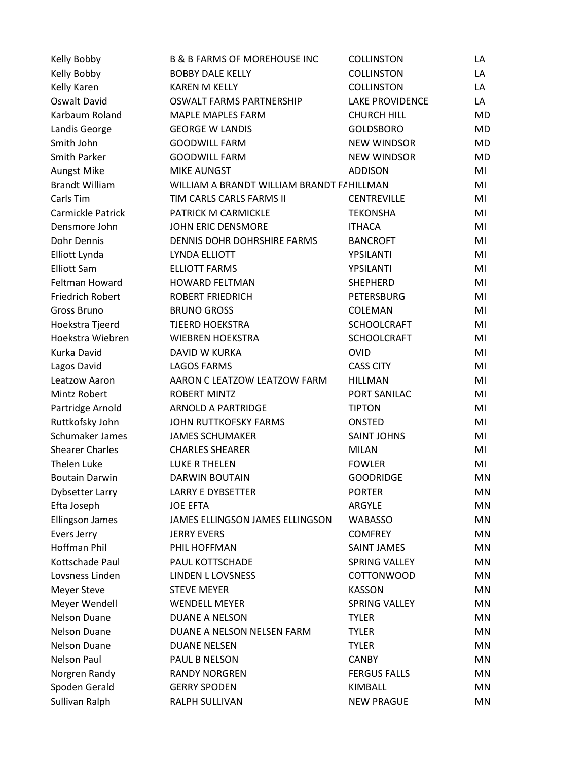| Kelly Bobby            | <b>B &amp; B FARMS OF MOREHOUSE INC</b>    | <b>COLLINSTON</b>      | LA        |
|------------------------|--------------------------------------------|------------------------|-----------|
| Kelly Bobby            | <b>BOBBY DALE KELLY</b>                    | <b>COLLINSTON</b>      | LA        |
| Kelly Karen            | <b>KAREN M KELLY</b>                       | <b>COLLINSTON</b>      | LA        |
| Oswalt David           | OSWALT FARMS PARTNERSHIP                   | <b>LAKE PROVIDENCE</b> | LA        |
| Karbaum Roland         | MAPLE MAPLES FARM                          | <b>CHURCH HILL</b>     | MD        |
| Landis George          | <b>GEORGE W LANDIS</b>                     | <b>GOLDSBORO</b>       | <b>MD</b> |
| Smith John             | <b>GOODWILL FARM</b>                       | <b>NEW WINDSOR</b>     | MD        |
| <b>Smith Parker</b>    | <b>GOODWILL FARM</b>                       | <b>NEW WINDSOR</b>     | MD        |
| Aungst Mike            | <b>MIKE AUNGST</b>                         | <b>ADDISON</b>         | MI        |
| <b>Brandt William</b>  | WILLIAM A BRANDT WILLIAM BRANDT F/ HILLMAN |                        | MI        |
| Carls Tim              | TIM CARLS CARLS FARMS II                   | <b>CENTREVILLE</b>     | MI        |
| Carmickle Patrick      | PATRICK M CARMICKLE                        | <b>TEKONSHA</b>        | MI        |
| Densmore John          | JOHN ERIC DENSMORE                         | <b>ITHACA</b>          | MI        |
| Dohr Dennis            | DENNIS DOHR DOHRSHIRE FARMS                | <b>BANCROFT</b>        | MI        |
| Elliott Lynda          | LYNDA ELLIOTT                              | YPSILANTI              | MI        |
| <b>Elliott Sam</b>     | <b>ELLIOTT FARMS</b>                       | YPSILANTI              | MI        |
| Feltman Howard         | <b>HOWARD FELTMAN</b>                      | <b>SHEPHERD</b>        | MI        |
| Friedrich Robert       | <b>ROBERT FRIEDRICH</b>                    | <b>PETERSBURG</b>      | MI        |
| Gross Bruno            | <b>BRUNO GROSS</b>                         | COLEMAN                | MI        |
| Hoekstra Tjeerd        | <b>TJEERD HOEKSTRA</b>                     | <b>SCHOOLCRAFT</b>     | MI        |
| Hoekstra Wiebren       | <b>WIEBREN HOEKSTRA</b>                    | <b>SCHOOLCRAFT</b>     | MI        |
| Kurka David            | DAVID W KURKA                              | <b>OVID</b>            | MI        |
| Lagos David            | <b>LAGOS FARMS</b>                         | <b>CASS CITY</b>       | MI        |
| Leatzow Aaron          | AARON C LEATZOW LEATZOW FARM               | <b>HILLMAN</b>         | MI        |
| Mintz Robert           | <b>ROBERT MINTZ</b>                        | PORT SANILAC           | MI        |
| Partridge Arnold       | <b>ARNOLD A PARTRIDGE</b>                  | <b>TIPTON</b>          | MI        |
| Ruttkofsky John        | <b>JOHN RUTTKOFSKY FARMS</b>               | ONSTED                 | MI        |
| Schumaker James        | <b>JAMES SCHUMAKER</b>                     | <b>SAINT JOHNS</b>     | MI        |
| <b>Shearer Charles</b> | <b>CHARLES SHEARER</b>                     | <b>MILAN</b>           | MI        |
| <b>Thelen Luke</b>     | <b>LUKE R THELEN</b>                       | <b>FOWLER</b>          | MI        |
| <b>Boutain Darwin</b>  | <b>DARWIN BOUTAIN</b>                      | <b>GOODRIDGE</b>       | MN        |
| <b>Dybsetter Larry</b> | <b>LARRY E DYBSETTER</b>                   | <b>PORTER</b>          | ΜN        |
| Efta Joseph            | <b>JOE EFTA</b>                            | ARGYLE                 | MN        |
| <b>Ellingson James</b> | JAMES ELLINGSON JAMES ELLINGSON            | <b>WABASSO</b>         | MN        |
| Evers Jerry            | <b>JERRY EVERS</b>                         | <b>COMFREY</b>         | ΜN        |
| <b>Hoffman Phil</b>    | PHIL HOFFMAN                               | <b>SAINT JAMES</b>     | MN        |
| Kottschade Paul        | PAUL KOTTSCHADE                            | <b>SPRING VALLEY</b>   | ΜN        |
| Lovsness Linden        | LINDEN L LOVSNESS                          | <b>COTTONWOOD</b>      | MN        |
| <b>Meyer Steve</b>     | <b>STEVE MEYER</b>                         | <b>KASSON</b>          | MN        |
| Meyer Wendell          | <b>WENDELL MEYER</b>                       | <b>SPRING VALLEY</b>   | ΜN        |
| <b>Nelson Duane</b>    | DUANE A NELSON                             | <b>TYLER</b>           | MN        |
| Nelson Duane           | DUANE A NELSON NELSEN FARM                 | <b>TYLER</b>           | <b>MN</b> |
| Nelson Duane           | <b>DUANE NELSEN</b>                        | <b>TYLER</b>           | MN        |
| <b>Nelson Paul</b>     | PAUL B NELSON                              | <b>CANBY</b>           | ΜN        |
| Norgren Randy          | <b>RANDY NORGREN</b>                       | <b>FERGUS FALLS</b>    | ΜN        |
| Spoden Gerald          | <b>GERRY SPODEN</b>                        | KIMBALL                | MN        |
| Sullivan Ralph         | RALPH SULLIVAN                             | <b>NEW PRAGUE</b>      | MN        |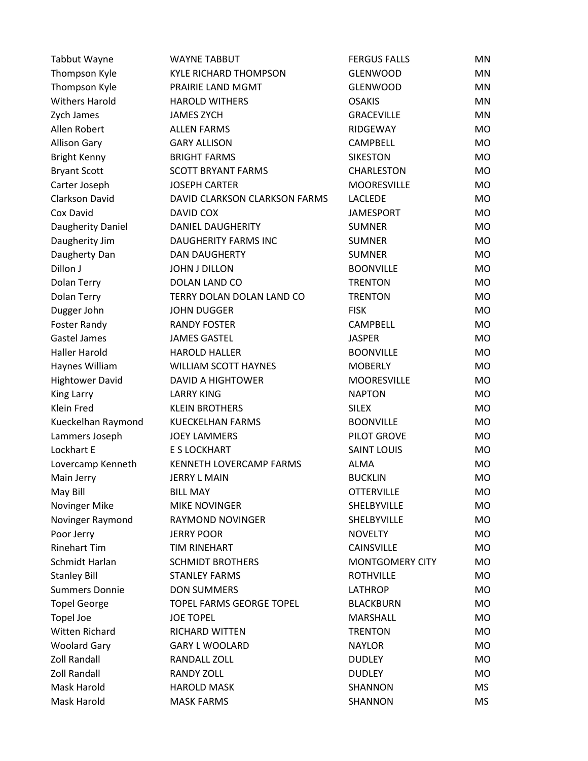| <b>Tabbut Wayne</b>    | <b>WAYNE TABBUT</b>           | <b>FERGUS FALLS</b>    | ΜN        |
|------------------------|-------------------------------|------------------------|-----------|
| Thompson Kyle          | <b>KYLE RICHARD THOMPSON</b>  | <b>GLENWOOD</b>        | <b>MN</b> |
| Thompson Kyle          | PRAIRIE LAND MGMT             | <b>GLENWOOD</b>        | MN        |
| <b>Withers Harold</b>  | <b>HAROLD WITHERS</b>         | <b>OSAKIS</b>          | MN        |
| Zych James             | <b>JAMES ZYCH</b>             | <b>GRACEVILLE</b>      | MN        |
| Allen Robert           | <b>ALLEN FARMS</b>            | RIDGEWAY               | MO.       |
| <b>Allison Gary</b>    | <b>GARY ALLISON</b>           | CAMPBELL               | <b>MO</b> |
| Bright Kenny           | <b>BRIGHT FARMS</b>           | <b>SIKESTON</b>        | <b>MO</b> |
| <b>Bryant Scott</b>    | <b>SCOTT BRYANT FARMS</b>     | CHARLESTON             | <b>MO</b> |
| Carter Joseph          | <b>JOSEPH CARTER</b>          | <b>MOORESVILLE</b>     | <b>MO</b> |
| Clarkson David         | DAVID CLARKSON CLARKSON FARMS | <b>LACLEDE</b>         | MO        |
| Cox David              | DAVID COX                     | <b>JAMESPORT</b>       | <b>MO</b> |
| Daugherity Daniel      | <b>DANIEL DAUGHERITY</b>      | <b>SUMNER</b>          | <b>MO</b> |
| Daugherity Jim         | <b>DAUGHERITY FARMS INC</b>   | <b>SUMNER</b>          | <b>MO</b> |
| Daugherty Dan          | <b>DAN DAUGHERTY</b>          | <b>SUMNER</b>          | <b>MO</b> |
| Dillon J               | <b>JOHN J DILLON</b>          | <b>BOONVILLE</b>       | <b>MO</b> |
| Dolan Terry            | DOLAN LAND CO                 | <b>TRENTON</b>         | <b>MO</b> |
| Dolan Terry            | TERRY DOLAN DOLAN LAND CO     | <b>TRENTON</b>         | MO        |
| Dugger John            | <b>JOHN DUGGER</b>            | <b>FISK</b>            | <b>MO</b> |
| Foster Randy           | <b>RANDY FOSTER</b>           | <b>CAMPBELL</b>        | MO        |
| <b>Gastel James</b>    | <b>JAMES GASTEL</b>           | <b>JASPER</b>          | <b>MO</b> |
| <b>Haller Harold</b>   | <b>HAROLD HALLER</b>          | <b>BOONVILLE</b>       | <b>MO</b> |
| Haynes William         | <b>WILLIAM SCOTT HAYNES</b>   | <b>MOBERLY</b>         | MO        |
| <b>Hightower David</b> | <b>DAVID A HIGHTOWER</b>      | <b>MOORESVILLE</b>     | <b>MO</b> |
| <b>King Larry</b>      | <b>LARRY KING</b>             | <b>NAPTON</b>          | MO        |
| Klein Fred             | <b>KLEIN BROTHERS</b>         | <b>SILEX</b>           | <b>MO</b> |
| Kueckelhan Raymond     | <b>KUECKELHAN FARMS</b>       | <b>BOONVILLE</b>       | MO        |
| Lammers Joseph         | <b>JOEY LAMMERS</b>           | PILOT GROVE            | <b>MO</b> |
| Lockhart E             | E S LOCKHART                  | <b>SAINT LOUIS</b>     | <b>MO</b> |
| Lovercamp Kenneth      | KENNETH LOVERCAMP FARMS       | ALMA                   | <b>MO</b> |
| Main Jerry             | <b>JERRY L MAIN</b>           | <b>BUCKLIN</b>         | <b>MO</b> |
| May Bill               | <b>BILL MAY</b>               | <b>OTTERVILLE</b>      | MO.       |
| Novinger Mike          | <b>MIKE NOVINGER</b>          | SHELBYVILLE            | <b>MO</b> |
| Novinger Raymond       | <b>RAYMOND NOVINGER</b>       | SHELBYVILLE            | MO        |
| Poor Jerry             | <b>JERRY POOR</b>             | <b>NOVELTY</b>         | MO        |
| <b>Rinehart Tim</b>    | TIM RINEHART                  | <b>CAINSVILLE</b>      | <b>MO</b> |
| Schmidt Harlan         | <b>SCHMIDT BROTHERS</b>       | <b>MONTGOMERY CITY</b> | MO        |
| <b>Stanley Bill</b>    | <b>STANLEY FARMS</b>          | <b>ROTHVILLE</b>       | MO        |
| <b>Summers Donnie</b>  | <b>DON SUMMERS</b>            | <b>LATHROP</b>         | MO        |
| <b>Topel George</b>    | TOPEL FARMS GEORGE TOPEL      | <b>BLACKBURN</b>       | MO        |
| <b>Topel Joe</b>       | <b>JOE TOPEL</b>              | <b>MARSHALL</b>        | <b>MO</b> |
| <b>Witten Richard</b>  | RICHARD WITTEN                | <b>TRENTON</b>         | MO        |
| <b>Woolard Gary</b>    | <b>GARY L WOOLARD</b>         | <b>NAYLOR</b>          | MO        |
| <b>Zoll Randall</b>    | RANDALL ZOLL                  | <b>DUDLEY</b>          | MO.       |
| <b>Zoll Randall</b>    | <b>RANDY ZOLL</b>             | <b>DUDLEY</b>          | MO        |
| <b>Mask Harold</b>     | <b>HAROLD MASK</b>            | SHANNON                | МS        |
| Mask Harold            | <b>MASK FARMS</b>             | SHANNON                | <b>MS</b> |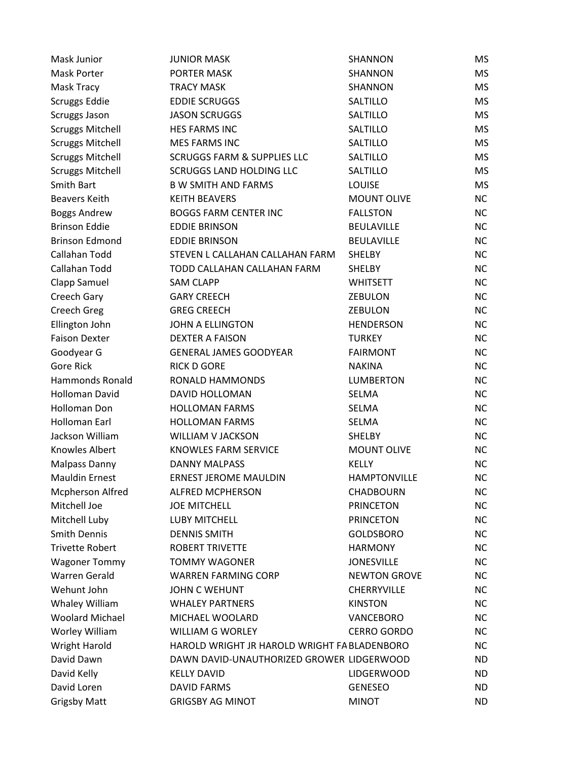| Mask Junior             | <b>JUNIOR MASK</b>                           | SHANNON             | МS        |
|-------------------------|----------------------------------------------|---------------------|-----------|
| <b>Mask Porter</b>      | PORTER MASK                                  | SHANNON             | <b>MS</b> |
| Mask Tracy              | <b>TRACY MASK</b>                            | SHANNON             | MS        |
| Scruggs Eddie           | <b>EDDIE SCRUGGS</b>                         | SALTILLO            | <b>MS</b> |
| Scruggs Jason           | <b>JASON SCRUGGS</b>                         | SALTILLO            | <b>MS</b> |
| <b>Scruggs Mitchell</b> | <b>HES FARMS INC</b>                         | SALTILLO            | <b>MS</b> |
| <b>Scruggs Mitchell</b> | <b>MES FARMS INC</b>                         | SALTILLO            | <b>MS</b> |
| <b>Scruggs Mitchell</b> | <b>SCRUGGS FARM &amp; SUPPLIES LLC</b>       | SALTILLO            | <b>MS</b> |
| <b>Scruggs Mitchell</b> | <b>SCRUGGS LAND HOLDING LLC</b>              | SALTILLO            | <b>MS</b> |
| Smith Bart              | <b>B W SMITH AND FARMS</b>                   | <b>LOUISE</b>       | <b>MS</b> |
| <b>Beavers Keith</b>    | <b>KEITH BEAVERS</b>                         | <b>MOUNT OLIVE</b>  | <b>NC</b> |
| <b>Boggs Andrew</b>     | <b>BOGGS FARM CENTER INC</b>                 | <b>FALLSTON</b>     | <b>NC</b> |
| <b>Brinson Eddie</b>    | <b>EDDIE BRINSON</b>                         | <b>BEULAVILLE</b>   | <b>NC</b> |
| <b>Brinson Edmond</b>   | <b>EDDIE BRINSON</b>                         | <b>BEULAVILLE</b>   | <b>NC</b> |
| Callahan Todd           | STEVEN L CALLAHAN CALLAHAN FARM              | <b>SHELBY</b>       | <b>NC</b> |
| Callahan Todd           | TODD CALLAHAN CALLAHAN FARM                  | <b>SHELBY</b>       | <b>NC</b> |
| Clapp Samuel            | <b>SAM CLAPP</b>                             | <b>WHITSETT</b>     | <b>NC</b> |
| Creech Gary             | <b>GARY CREECH</b>                           | <b>ZEBULON</b>      | <b>NC</b> |
| Creech Greg             | <b>GREG CREECH</b>                           | <b>ZEBULON</b>      | <b>NC</b> |
| Ellington John          | JOHN A ELLINGTON                             | <b>HENDERSON</b>    | <b>NC</b> |
| <b>Faison Dexter</b>    | <b>DEXTER A FAISON</b>                       | <b>TURKEY</b>       | <b>NC</b> |
| Goodyear G              | <b>GENERAL JAMES GOODYEAR</b>                | <b>FAIRMONT</b>     | <b>NC</b> |
| <b>Gore Rick</b>        | <b>RICK D GORE</b>                           | <b>NAKINA</b>       | <b>NC</b> |
| <b>Hammonds Ronald</b>  | RONALD HAMMONDS                              | <b>LUMBERTON</b>    | <b>NC</b> |
| Holloman David          | DAVID HOLLOMAN                               | SELMA               | <b>NC</b> |
| Holloman Don            | <b>HOLLOMAN FARMS</b>                        | SELMA               | <b>NC</b> |
| Holloman Earl           | <b>HOLLOMAN FARMS</b>                        | SELMA               | <b>NC</b> |
| Jackson William         | <b>WILLIAM V JACKSON</b>                     | <b>SHELBY</b>       | <b>NC</b> |
| Knowles Albert          | <b>KNOWLES FARM SERVICE</b>                  | <b>MOUNT OLIVE</b>  | <b>NC</b> |
| <b>Malpass Danny</b>    | <b>DANNY MALPASS</b>                         | <b>KELLY</b>        | <b>NC</b> |
| <b>Mauldin Ernest</b>   | <b>ERNEST JEROME MAULDIN</b>                 | <b>HAMPTONVILLE</b> | <b>NC</b> |
| <b>Mcpherson Alfred</b> | <b>ALFRED MCPHERSON</b>                      | <b>CHADBOURN</b>    | ΝC        |
| Mitchell Joe            | <b>JOE MITCHELL</b>                          | <b>PRINCETON</b>    | NC.       |
| Mitchell Luby           | LUBY MITCHELL                                | <b>PRINCETON</b>    | <b>NC</b> |
| <b>Smith Dennis</b>     | <b>DENNIS SMITH</b>                          | <b>GOLDSBORO</b>    | NC.       |
| <b>Trivette Robert</b>  | <b>ROBERT TRIVETTE</b>                       | <b>HARMONY</b>      | <b>NC</b> |
| <b>Wagoner Tommy</b>    | <b>TOMMY WAGONER</b>                         | <b>JONESVILLE</b>   | <b>NC</b> |
| <b>Warren Gerald</b>    | <b>WARREN FARMING CORP</b>                   | <b>NEWTON GROVE</b> | <b>NC</b> |
| Wehunt John             | <b>JOHN C WEHUNT</b>                         | <b>CHERRYVILLE</b>  | NC.       |
| Whaley William          | <b>WHALEY PARTNERS</b>                       | <b>KINSTON</b>      | <b>NC</b> |
| <b>Woolard Michael</b>  | MICHAEL WOOLARD                              | VANCEBORO           | <b>NC</b> |
| Worley William          | <b>WILLIAM G WORLEY</b>                      | <b>CERRO GORDO</b>  | NC.       |
| <b>Wright Harold</b>    | HAROLD WRIGHT JR HAROLD WRIGHT FA BLADENBORO |                     | ΝC        |
| David Dawn              | DAWN DAVID-UNAUTHORIZED GROWER LIDGERWOOD    |                     | ND.       |
| David Kelly             | <b>KELLY DAVID</b>                           | <b>LIDGERWOOD</b>   | ND        |
| David Loren             | <b>DAVID FARMS</b>                           | <b>GENESEO</b>      | ND.       |
| <b>Grigsby Matt</b>     | <b>GRIGSBY AG MINOT</b>                      | <b>MINOT</b>        | <b>ND</b> |
|                         |                                              |                     |           |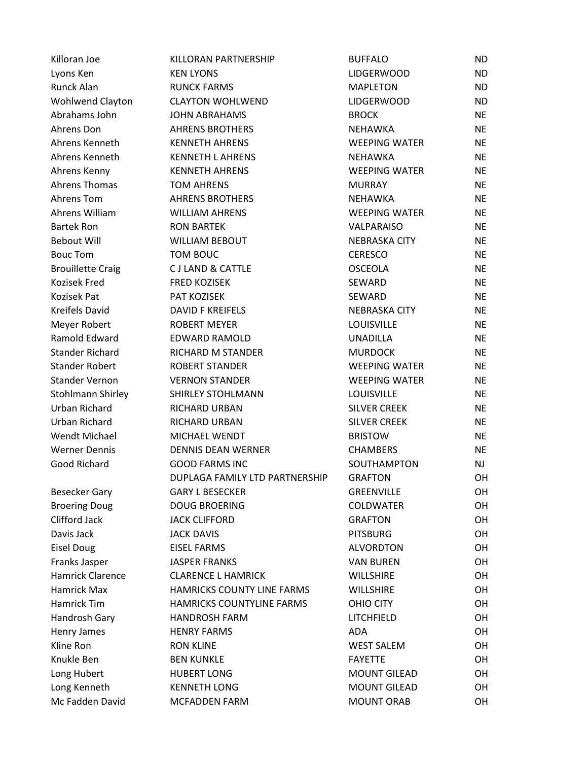| Killoran Joe             | KILLORAN PARTNERSHIP           | <b>BUFFALO</b>       | <b>ND</b> |  |
|--------------------------|--------------------------------|----------------------|-----------|--|
| Lyons Ken                | <b>KEN LYONS</b>               | <b>LIDGERWOOD</b>    | <b>ND</b> |  |
| Runck Alan               | <b>RUNCK FARMS</b>             | <b>MAPLETON</b>      | <b>ND</b> |  |
| Wohlwend Clayton         | <b>CLAYTON WOHLWEND</b>        | <b>LIDGERWOOD</b>    | <b>ND</b> |  |
| Abrahams John            | <b>JOHN ABRAHAMS</b>           | <b>BROCK</b>         | <b>NE</b> |  |
| Ahrens Don               | <b>AHRENS BROTHERS</b>         | <b>NEHAWKA</b>       | <b>NE</b> |  |
| Ahrens Kenneth           | <b>KENNETH AHRENS</b>          | <b>WEEPING WATER</b> | <b>NE</b> |  |
| Ahrens Kenneth           | <b>KENNETH L AHRENS</b>        | <b>NEHAWKA</b>       | <b>NE</b> |  |
| Ahrens Kenny             | <b>KENNETH AHRENS</b>          | <b>WEEPING WATER</b> | <b>NE</b> |  |
| <b>Ahrens Thomas</b>     | <b>TOM AHRENS</b>              | <b>MURRAY</b>        | <b>NE</b> |  |
| Ahrens Tom               | <b>AHRENS BROTHERS</b>         | <b>NEHAWKA</b>       | <b>NE</b> |  |
| Ahrens William           | <b>WILLIAM AHRENS</b>          | <b>WEEPING WATER</b> | <b>NE</b> |  |
| <b>Bartek Ron</b>        | <b>RON BARTEK</b>              | VALPARAISO           | <b>NE</b> |  |
| <b>Bebout Will</b>       | <b>WILLIAM BEBOUT</b>          | <b>NEBRASKA CITY</b> | <b>NE</b> |  |
| <b>Bouc Tom</b>          | TOM BOUC                       | <b>CERESCO</b>       | <b>NE</b> |  |
| <b>Brouillette Craig</b> | <b>CJ LAND &amp; CATTLE</b>    | <b>OSCEOLA</b>       | <b>NE</b> |  |
| Kozisek Fred             | <b>FRED KOZISEK</b>            | SEWARD               | <b>NE</b> |  |
| Kozisek Pat              | PAT KOZISEK                    | SEWARD               | <b>NE</b> |  |
| <b>Kreifels David</b>    | <b>DAVID F KREIFELS</b>        | <b>NEBRASKA CITY</b> | <b>NE</b> |  |
| Meyer Robert             | <b>ROBERT MEYER</b>            | LOUISVILLE           | <b>NE</b> |  |
| Ramold Edward            | <b>EDWARD RAMOLD</b>           | <b>UNADILLA</b>      | <b>NE</b> |  |
| <b>Stander Richard</b>   | RICHARD M STANDER              | <b>MURDOCK</b>       | <b>NE</b> |  |
| <b>Stander Robert</b>    | <b>ROBERT STANDER</b>          | <b>WEEPING WATER</b> | <b>NE</b> |  |
| <b>Stander Vernon</b>    | <b>VERNON STANDER</b>          | <b>WEEPING WATER</b> | <b>NE</b> |  |
| Stohlmann Shirley        | SHIRLEY STOHLMANN              | LOUISVILLE           | <b>NE</b> |  |
| Urban Richard            | <b>RICHARD URBAN</b>           | <b>SILVER CREEK</b>  | <b>NE</b> |  |
| Urban Richard            | RICHARD URBAN                  | <b>SILVER CREEK</b>  | <b>NE</b> |  |
| <b>Wendt Michael</b>     | MICHAEL WENDT                  | <b>BRISTOW</b>       | <b>NE</b> |  |
| <b>Werner Dennis</b>     | <b>DENNIS DEAN WERNER</b>      | <b>CHAMBERS</b>      | <b>NE</b> |  |
| Good Richard             | <b>GOOD FARMS INC</b>          | SOUTHAMPTON          | <b>NJ</b> |  |
|                          | DUPLAGA FAMILY LTD PARTNERSHIP | <b>GRAFTON</b>       | OH        |  |
| <b>Besecker Gary</b>     | <b>GARY L BESECKER</b>         | <b>GREENVILLE</b>    | OН        |  |
| <b>Broering Doug</b>     | <b>DOUG BROERING</b>           | <b>COLDWATER</b>     | OН        |  |
| Clifford Jack            | <b>JACK CLIFFORD</b>           | <b>GRAFTON</b>       | OН        |  |
| Davis Jack               | <b>JACK DAVIS</b>              | <b>PITSBURG</b>      | OН        |  |
| <b>Eisel Doug</b>        | <b>EISEL FARMS</b>             | <b>ALVORDTON</b>     | OH        |  |
| Franks Jasper            | <b>JASPER FRANKS</b>           | <b>VAN BUREN</b>     | OН        |  |
| Hamrick Clarence         | <b>CLARENCE L HAMRICK</b>      | <b>WILLSHIRE</b>     | OН        |  |
| Hamrick Max              | HAMRICKS COUNTY LINE FARMS     | <b>WILLSHIRE</b>     | OН        |  |
| Hamrick Tim              | HAMRICKS COUNTYLINE FARMS      | OHIO CITY            | OН        |  |
| Handrosh Gary            | <b>HANDROSH FARM</b>           | LITCHFIELD           | OH        |  |
| Henry James              | <b>HENRY FARMS</b>             | ADA                  | OН        |  |
| Kline Ron                | <b>RON KLINE</b>               | <b>WEST SALEM</b>    | OH        |  |
| Knukle Ben               | <b>BEN KUNKLE</b>              | <b>FAYETTE</b>       | OН        |  |
| Long Hubert              | <b>HUBERT LONG</b>             | <b>MOUNT GILEAD</b>  | OН        |  |
| Long Kenneth             | <b>KENNETH LONG</b>            | <b>MOUNT GILEAD</b>  | OН        |  |
| Mc Fadden David          | <b>MCFADDEN FARM</b>           | <b>MOUNT ORAB</b>    | OH        |  |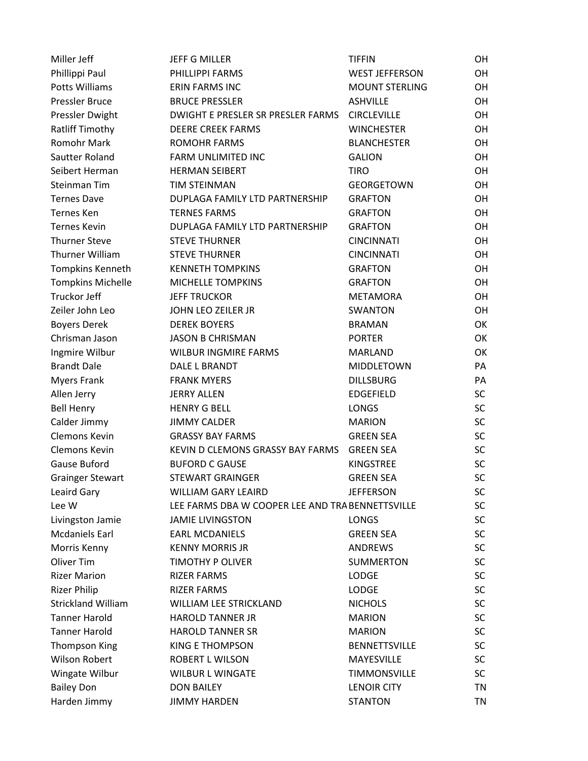| Miller Jeff               | <b>JEFF G MILLER</b>                             | <b>TIFFIN</b>         |           |
|---------------------------|--------------------------------------------------|-----------------------|-----------|
| Phillippi Paul            | PHILLIPPI FARMS                                  | <b>WEST JEFFERSON</b> | OH        |
| <b>Potts Williams</b>     | ERIN FARMS INC                                   | <b>MOUNT STERLING</b> | <b>OH</b> |
| Pressler Bruce            | <b>BRUCE PRESSLER</b>                            | <b>ASHVILLE</b>       | OH        |
| Pressler Dwight           | <b>DWIGHT E PRESLER SR PRESLER FARMS</b>         | <b>CIRCLEVILLE</b>    | <b>OH</b> |
| Ratliff Timothy           | <b>DEERE CREEK FARMS</b>                         | <b>WINCHESTER</b>     | <b>OH</b> |
| <b>Romohr Mark</b>        | <b>ROMOHR FARMS</b>                              | <b>BLANCHESTER</b>    | <b>OH</b> |
| Sautter Roland            | FARM UNLIMITED INC                               | <b>GALION</b>         | <b>OH</b> |
| Seibert Herman            | <b>HERMAN SEIBERT</b>                            | <b>TIRO</b>           | <b>OH</b> |
| Steinman Tim              | <b>TIM STEINMAN</b>                              | <b>GEORGETOWN</b>     | OH        |
| <b>Ternes Dave</b>        | DUPLAGA FAMILY LTD PARTNERSHIP                   | <b>GRAFTON</b>        | OH        |
| <b>Ternes Ken</b>         | <b>TERNES FARMS</b>                              | <b>GRAFTON</b>        | <b>OH</b> |
| <b>Ternes Kevin</b>       | DUPLAGA FAMILY LTD PARTNERSHIP                   | <b>GRAFTON</b>        | OH        |
| <b>Thurner Steve</b>      | <b>STEVE THURNER</b>                             | <b>CINCINNATI</b>     | <b>OH</b> |
| Thurner William           | <b>STEVE THURNER</b>                             | <b>CINCINNATI</b>     | <b>OH</b> |
| Tompkins Kenneth          | <b>KENNETH TOMPKINS</b>                          | <b>GRAFTON</b>        | <b>OH</b> |
| <b>Tompkins Michelle</b>  | MICHELLE TOMPKINS                                | <b>GRAFTON</b>        | <b>OH</b> |
| Truckor Jeff              | <b>JEFF TRUCKOR</b>                              | METAMORA              | OH        |
| Zeiler John Leo           | JOHN LEO ZEILER JR                               | <b>SWANTON</b>        | OH        |
| <b>Boyers Derek</b>       | <b>DEREK BOYERS</b>                              | <b>BRAMAN</b>         | OK        |
| Chrisman Jason            | <b>JASON B CHRISMAN</b>                          | <b>PORTER</b>         | OK        |
| Ingmire Wilbur            | <b>WILBUR INGMIRE FARMS</b>                      | <b>MARLAND</b>        | OK        |
| <b>Brandt Dale</b>        | DALE L BRANDT                                    | MIDDLETOWN            | PA        |
| <b>Myers Frank</b>        | <b>FRANK MYERS</b>                               | <b>DILLSBURG</b>      | PA        |
| Allen Jerry               | <b>JERRY ALLEN</b>                               | EDGEFIELD             | <b>SC</b> |
| <b>Bell Henry</b>         | <b>HENRY G BELL</b>                              | <b>LONGS</b>          | <b>SC</b> |
| Calder Jimmy              | <b>JIMMY CALDER</b>                              | <b>MARION</b>         | <b>SC</b> |
| Clemons Kevin             | <b>GRASSY BAY FARMS</b>                          | <b>GREEN SEA</b>      | <b>SC</b> |
| Clemons Kevin             | KEVIN D CLEMONS GRASSY BAY FARMS                 | <b>GREEN SEA</b>      | <b>SC</b> |
| Gause Buford              | <b>BUFORD C GAUSE</b>                            | KINGSTREE             | <b>SC</b> |
| <b>Grainger Stewart</b>   | <b>STEWART GRAINGER</b>                          | <b>GREEN SEA</b>      | <b>SC</b> |
| Leaird Gary               | <b>WILLIAM GARY LEAIRD</b>                       | <b>JEFFERSON</b>      | <b>SC</b> |
| Lee W                     | LEE FARMS DBA W COOPER LEE AND TRA BENNETTSVILLE |                       | <b>SC</b> |
| Livingston Jamie          | <b>JAMIE LIVINGSTON</b>                          | <b>LONGS</b>          | <b>SC</b> |
| <b>Mcdaniels Earl</b>     | <b>EARL MCDANIELS</b>                            | <b>GREEN SEA</b>      | <b>SC</b> |
| Morris Kenny              | <b>KENNY MORRIS JR</b>                           | <b>ANDREWS</b>        | <b>SC</b> |
| Oliver Tim                | TIMOTHY P OLIVER                                 | <b>SUMMERTON</b>      | <b>SC</b> |
| <b>Rizer Marion</b>       | <b>RIZER FARMS</b>                               | <b>LODGE</b>          | <b>SC</b> |
| <b>Rizer Philip</b>       | <b>RIZER FARMS</b>                               | <b>LODGE</b>          | <b>SC</b> |
| <b>Strickland William</b> | WILLIAM LEE STRICKLAND                           | <b>NICHOLS</b>        | <b>SC</b> |
| <b>Tanner Harold</b>      | <b>HAROLD TANNER JR</b>                          | <b>MARION</b>         | <b>SC</b> |
| <b>Tanner Harold</b>      | <b>HAROLD TANNER SR</b>                          | <b>MARION</b>         | <b>SC</b> |
| <b>Thompson King</b>      | <b>KING E THOMPSON</b>                           | <b>BENNETTSVILLE</b>  | <b>SC</b> |
| <b>Wilson Robert</b>      | ROBERT L WILSON                                  | MAYESVILLE            | <b>SC</b> |
| Wingate Wilbur            | <b>WILBUR L WINGATE</b>                          | <b>TIMMONSVILLE</b>   | <b>SC</b> |
| <b>Bailey Don</b>         | <b>DON BAILEY</b>                                | <b>LENOIR CITY</b>    | ΤN        |
| Harden Jimmy              | <b>JIMMY HARDEN</b>                              | <b>STANTON</b>        | <b>TN</b> |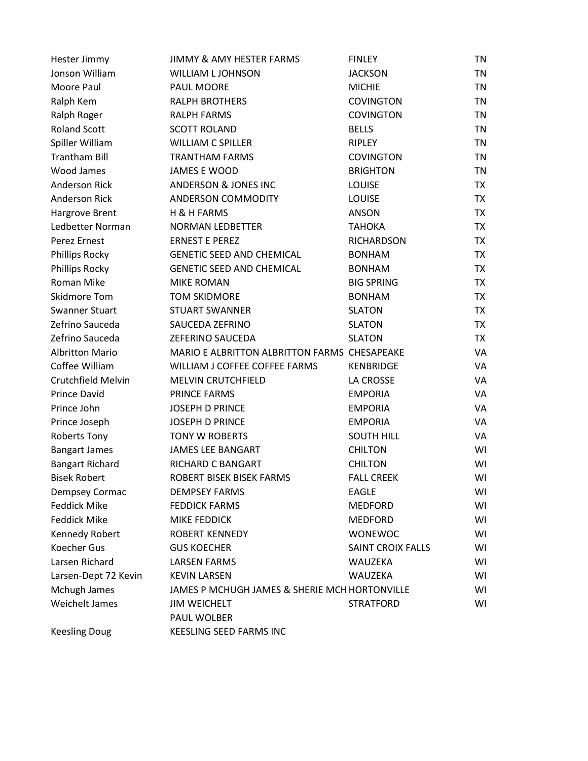| Hester Jimmy           | <b>JIMMY &amp; AMY HESTER FARMS</b>           | <b>FINLEY</b>            | TN        |
|------------------------|-----------------------------------------------|--------------------------|-----------|
| Jonson William         | <b>WILLIAM L JOHNSON</b>                      | <b>JACKSON</b>           | TN        |
| Moore Paul             | PAUL MOORE                                    | <b>MICHIE</b>            | <b>TN</b> |
| Ralph Kem              | <b>RALPH BROTHERS</b>                         | <b>COVINGTON</b>         | TN        |
| Ralph Roger            | <b>RALPH FARMS</b>                            | <b>COVINGTON</b>         | <b>TN</b> |
| <b>Roland Scott</b>    | <b>SCOTT ROLAND</b>                           | <b>BELLS</b>             | <b>TN</b> |
| Spiller William        | <b>WILLIAM C SPILLER</b>                      | <b>RIPLEY</b>            | <b>TN</b> |
| <b>Trantham Bill</b>   | <b>TRANTHAM FARMS</b>                         | <b>COVINGTON</b>         | <b>TN</b> |
| <b>Wood James</b>      | <b>JAMES E WOOD</b>                           | <b>BRIGHTON</b>          | <b>TN</b> |
| <b>Anderson Rick</b>   | <b>ANDERSON &amp; JONES INC</b>               | <b>LOUISE</b>            | <b>TX</b> |
| <b>Anderson Rick</b>   | ANDERSON COMMODITY                            | LOUISE                   | <b>TX</b> |
| Hargrove Brent         | H & H FARMS                                   | <b>ANSON</b>             | <b>TX</b> |
| Ledbetter Norman       | <b>NORMAN LEDBETTER</b>                       | ТАНОКА                   | <b>TX</b> |
| Perez Ernest           | <b>ERNEST E PEREZ</b>                         | RICHARDSON               | <b>TX</b> |
| Phillips Rocky         | <b>GENETIC SEED AND CHEMICAL</b>              | <b>BONHAM</b>            | <b>TX</b> |
| Phillips Rocky         | <b>GENETIC SEED AND CHEMICAL</b>              | <b>BONHAM</b>            | <b>TX</b> |
| Roman Mike             | <b>MIKE ROMAN</b>                             | <b>BIG SPRING</b>        | <b>TX</b> |
| Skidmore Tom           | <b>TOM SKIDMORE</b>                           | <b>BONHAM</b>            | <b>TX</b> |
| <b>Swanner Stuart</b>  | <b>STUART SWANNER</b>                         | <b>SLATON</b>            | <b>TX</b> |
| Zefrino Sauceda        | SAUCEDA ZEFRINO                               | <b>SLATON</b>            | TX        |
| Zefrino Sauceda        | <b>ZEFERINO SAUCEDA</b>                       | <b>SLATON</b>            | TX        |
| <b>Albritton Mario</b> | MARIO E ALBRITTON ALBRITTON FARMS CHESAPEAKE  |                          | VA        |
| Coffee William         | WILLIAM J COFFEE COFFEE FARMS                 | <b>KENBRIDGE</b>         | VA        |
| Crutchfield Melvin     | <b>MELVIN CRUTCHFIELD</b>                     | LA CROSSE                | VA        |
| <b>Prince David</b>    | PRINCE FARMS                                  | <b>EMPORIA</b>           | VA        |
| Prince John            | <b>JOSEPH D PRINCE</b>                        | <b>EMPORIA</b>           | VA        |
| Prince Joseph          | <b>JOSEPH D PRINCE</b>                        | <b>EMPORIA</b>           | VA        |
| <b>Roberts Tony</b>    | <b>TONY W ROBERTS</b>                         | <b>SOUTH HILL</b>        | VA        |
| <b>Bangart James</b>   | <b>JAMES LEE BANGART</b>                      | <b>CHILTON</b>           | WI        |
| <b>Bangart Richard</b> | RICHARD C BANGART                             | <b>CHILTON</b>           | WI        |
| <b>Bisek Robert</b>    | ROBERT BISEK BISEK FARMS                      | <b>FALL CREEK</b>        | WI        |
| Dempsey Cormac         | <b>DEMPSEY FARMS</b>                          | <b>EAGLE</b>             | WI        |
| <b>Feddick Mike</b>    | <b>FEDDICK FARMS</b>                          | <b>MEDFORD</b>           | WI        |
| <b>Feddick Mike</b>    | MIKE FEDDICK                                  | <b>MEDFORD</b>           | WI        |
| Kennedy Robert         | <b>ROBERT KENNEDY</b>                         | <b>WONEWOC</b>           | WI        |
| <b>Koecher Gus</b>     | <b>GUS KOECHER</b>                            | <b>SAINT CROIX FALLS</b> | WI        |
| Larsen Richard         | <b>LARSEN FARMS</b>                           | WAUZEKA                  | WI        |
| Larsen-Dept 72 Kevin   | <b>KEVIN LARSEN</b>                           | WAUZEKA                  | WI        |
| Mchugh James           | JAMES P MCHUGH JAMES & SHERIE MCH HORTONVILLE |                          | WI        |
| Weichelt James         | <b>JIM WEICHELT</b>                           | <b>STRATFORD</b>         | WI        |
|                        | PAUL WOLBER                                   |                          |           |
| <b>Keesling Doug</b>   | KEESLING SEED FARMS INC                       |                          |           |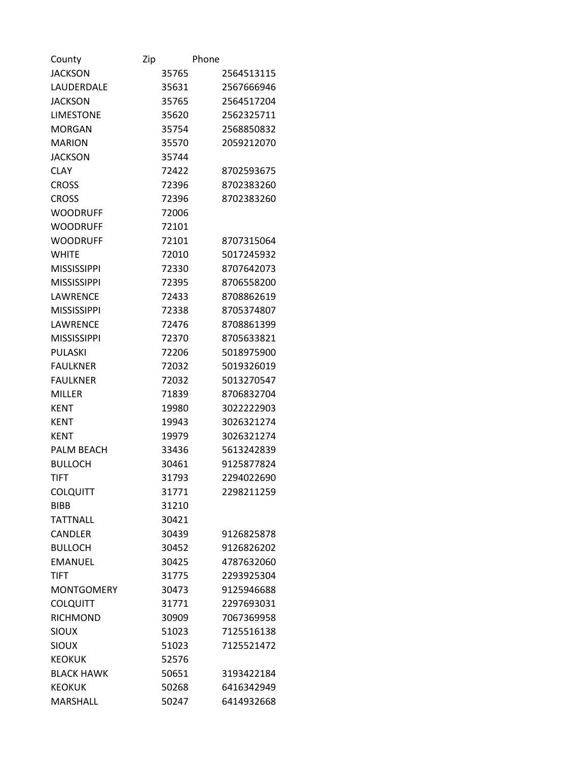| County             | Zip |       | Phone |            |
|--------------------|-----|-------|-------|------------|
| <b>JACKSON</b>     |     | 35765 |       | 2564513115 |
| LAUDERDALE         |     | 35631 |       | 2567666946 |
| <b>JACKSON</b>     |     | 35765 |       | 2564517204 |
| <b>LIMESTONE</b>   |     | 35620 |       | 2562325711 |
| <b>MORGAN</b>      |     | 35754 |       | 2568850832 |
| <b>MARION</b>      |     | 35570 |       | 2059212070 |
| <b>JACKSON</b>     |     | 35744 |       |            |
| <b>CLAY</b>        |     | 72422 |       | 8702593675 |
| <b>CROSS</b>       |     | 72396 |       | 8702383260 |
| <b>CROSS</b>       |     | 72396 |       | 8702383260 |
| <b>WOODRUFF</b>    |     | 72006 |       |            |
| <b>WOODRUFF</b>    |     | 72101 |       |            |
| <b>WOODRUFF</b>    |     | 72101 |       | 8707315064 |
| <b>WHITE</b>       |     | 72010 |       | 5017245932 |
| <b>MISSISSIPPI</b> |     | 72330 |       | 8707642073 |
| <b>MISSISSIPPI</b> |     | 72395 |       | 8706558200 |
| LAWRENCE           |     | 72433 |       | 8708862619 |
| <b>MISSISSIPPI</b> |     | 72338 |       | 8705374807 |
| LAWRENCE           |     | 72476 |       | 8708861399 |
| <b>MISSISSIPPI</b> |     | 72370 |       | 8705633821 |
| PULASKI            |     | 72206 |       | 5018975900 |
| <b>FAULKNER</b>    |     | 72032 |       | 5019326019 |
| <b>FAULKNER</b>    |     | 72032 |       | 5013270547 |
| <b>MILLER</b>      |     | 71839 |       | 8706832704 |
| <b>KENT</b>        |     | 19980 |       | 3022222903 |
| <b>KENT</b>        |     | 19943 |       | 3026321274 |
| <b>KENT</b>        |     | 19979 |       | 3026321274 |
| <b>PALM BEACH</b>  |     | 33436 |       | 5613242839 |
| <b>BULLOCH</b>     |     | 30461 |       | 9125877824 |
| TIFT               |     | 31793 |       | 2294022690 |
| <b>COLQUITT</b>    |     | 31771 |       | 2298211259 |
| <b>BIBB</b>        |     | 31210 |       |            |
| <b>TATTNALL</b>    |     | 30421 |       |            |
| CANDLER            |     | 30439 |       | 9126825878 |
| <b>BULLOCH</b>     |     | 30452 |       | 9126826202 |
| <b>EMANUEL</b>     |     | 30425 |       | 4787632060 |
| <b>TIFT</b>        |     | 31775 |       | 2293925304 |
| <b>MONTGOMERY</b>  |     | 30473 |       | 9125946688 |
| <b>COLQUITT</b>    |     | 31771 |       | 2297693031 |
| <b>RICHMOND</b>    |     | 30909 |       | 7067369958 |
| <b>SIOUX</b>       |     | 51023 |       | 7125516138 |
| <b>SIOUX</b>       |     | 51023 |       | 7125521472 |
| <b>KEOKUK</b>      |     | 52576 |       |            |
| <b>BLACK HAWK</b>  |     | 50651 |       | 3193422184 |
| <b>KEOKUK</b>      |     | 50268 |       | 6416342949 |
| MARSHALL           |     | 50247 |       | 6414932668 |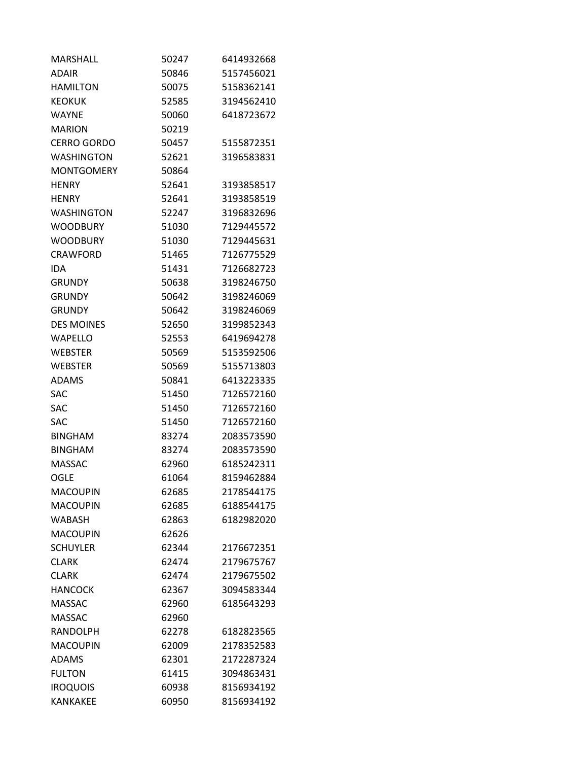| <b>MARSHALL</b>    | 50247 | 6414932668 |
|--------------------|-------|------------|
| <b>ADAIR</b>       | 50846 | 5157456021 |
| HAMILTON           | 50075 | 5158362141 |
| <b>KEOKUK</b>      | 52585 | 3194562410 |
| <b>WAYNE</b>       | 50060 | 6418723672 |
| <b>MARION</b>      | 50219 |            |
| <b>CERRO GORDO</b> | 50457 | 5155872351 |
| <b>WASHINGTON</b>  | 52621 | 3196583831 |
| <b>MONTGOMERY</b>  | 50864 |            |
| <b>HENRY</b>       | 52641 | 3193858517 |
| <b>HENRY</b>       | 52641 | 3193858519 |
| WASHINGTON         | 52247 | 3196832696 |
| <b>WOODBURY</b>    | 51030 | 7129445572 |
| <b>WOODBURY</b>    | 51030 | 7129445631 |
| <b>CRAWFORD</b>    | 51465 | 7126775529 |
| <b>IDA</b>         | 51431 | 7126682723 |
| <b>GRUNDY</b>      | 50638 | 3198246750 |
| <b>GRUNDY</b>      | 50642 | 3198246069 |
| <b>GRUNDY</b>      | 50642 | 3198246069 |
| <b>DES MOINES</b>  | 52650 | 3199852343 |
| <b>WAPELLO</b>     | 52553 | 6419694278 |
| <b>WEBSTER</b>     | 50569 | 5153592506 |
| <b>WEBSTER</b>     | 50569 | 5155713803 |
| <b>ADAMS</b>       | 50841 | 6413223335 |
| <b>SAC</b>         | 51450 | 7126572160 |
| <b>SAC</b>         | 51450 | 7126572160 |
| <b>SAC</b>         | 51450 | 7126572160 |
| <b>BINGHAM</b>     | 83274 | 2083573590 |
| <b>BINGHAM</b>     | 83274 | 2083573590 |
| <b>MASSAC</b>      | 62960 | 6185242311 |
| OGLE               | 61064 | 8159462884 |
| <b>MACOUPIN</b>    | 62685 | 2178544175 |
| <b>MACOUPIN</b>    | 62685 | 6188544175 |
| WABASH             | 62863 | 6182982020 |
| <b>MACOUPIN</b>    | 62626 |            |
| <b>SCHUYLER</b>    | 62344 | 2176672351 |
| <b>CLARK</b>       | 62474 | 2179675767 |
| <b>CLARK</b>       | 62474 | 2179675502 |
| <b>HANCOCK</b>     | 62367 | 3094583344 |
| <b>MASSAC</b>      | 62960 | 6185643293 |
| <b>MASSAC</b>      | 62960 |            |
| <b>RANDOLPH</b>    | 62278 | 6182823565 |
| <b>MACOUPIN</b>    | 62009 | 2178352583 |
| <b>ADAMS</b>       | 62301 | 2172287324 |
| <b>FULTON</b>      | 61415 | 3094863431 |
| <b>IROQUOIS</b>    | 60938 | 8156934192 |
| KANKAKEE           | 60950 | 8156934192 |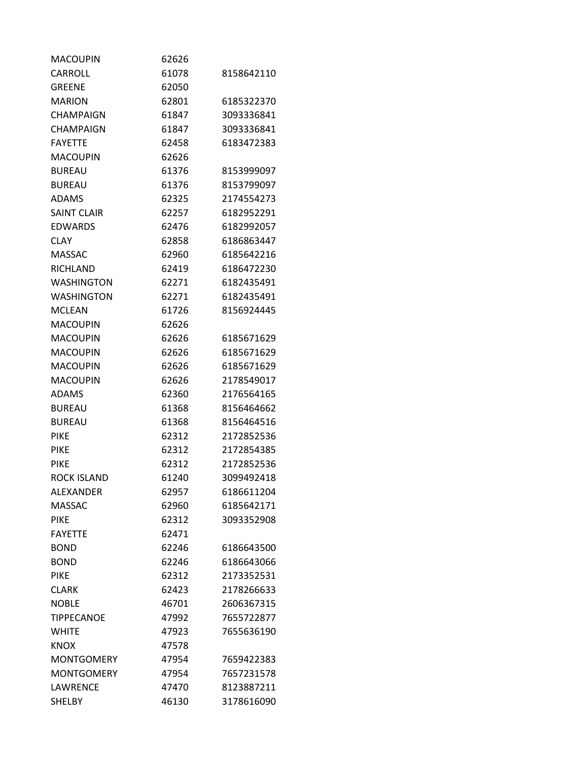| MACOUPIN           | 62626 |            |
|--------------------|-------|------------|
| CARROLL            | 61078 | 8158642110 |
| <b>GREENE</b>      | 62050 |            |
| <b>MARION</b>      | 62801 | 6185322370 |
| <b>CHAMPAIGN</b>   | 61847 | 3093336841 |
| CHAMPAIGN          | 61847 | 3093336841 |
| <b>FAYETTE</b>     | 62458 | 6183472383 |
| <b>MACOUPIN</b>    | 62626 |            |
| <b>BUREAU</b>      | 61376 | 8153999097 |
| <b>BUREAU</b>      | 61376 | 8153799097 |
| <b>ADAMS</b>       | 62325 | 2174554273 |
| <b>SAINT CLAIR</b> | 62257 | 6182952291 |
| EDWARDS            | 62476 | 6182992057 |
| <b>CLAY</b>        | 62858 | 6186863447 |
| <b>MASSAC</b>      | 62960 | 6185642216 |
| RICHLAND           | 62419 | 6186472230 |
| <b>WASHINGTON</b>  | 62271 | 6182435491 |
| <b>WASHINGTON</b>  | 62271 | 6182435491 |
| <b>MCLEAN</b>      | 61726 | 8156924445 |
| <b>MACOUPIN</b>    | 62626 |            |
| <b>MACOUPIN</b>    | 62626 | 6185671629 |
| <b>MACOUPIN</b>    | 62626 | 6185671629 |
| <b>MACOUPIN</b>    | 62626 | 6185671629 |
| <b>MACOUPIN</b>    | 62626 | 2178549017 |
| <b>ADAMS</b>       | 62360 | 2176564165 |
| <b>BUREAU</b>      | 61368 | 8156464662 |
| <b>BUREAU</b>      | 61368 | 8156464516 |
| <b>PIKE</b>        | 62312 | 2172852536 |
| <b>PIKE</b>        | 62312 | 2172854385 |
| PIKE               | 62312 | 2172852536 |
| ROCK ISLAND        | 61240 | 3099492418 |
| ALEXANDER          | 62957 | 6186611204 |
| <b>MASSAC</b>      | 62960 | 6185642171 |
| <b>PIKE</b>        | 62312 | 3093352908 |
| <b>FAYETTE</b>     | 62471 |            |
| <b>BOND</b>        | 62246 | 6186643500 |
| <b>BOND</b>        | 62246 | 6186643066 |
| <b>PIKE</b>        | 62312 | 2173352531 |
| <b>CLARK</b>       | 62423 | 2178266633 |
| <b>NOBLE</b>       | 46701 | 2606367315 |
| <b>TIPPECANOE</b>  | 47992 | 7655722877 |
| <b>WHITE</b>       | 47923 | 7655636190 |
| <b>KNOX</b>        | 47578 |            |
| <b>MONTGOMERY</b>  | 47954 | 7659422383 |
| <b>MONTGOMERY</b>  | 47954 | 7657231578 |
| LAWRENCE           | 47470 | 8123887211 |
| <b>SHELBY</b>      | 46130 | 3178616090 |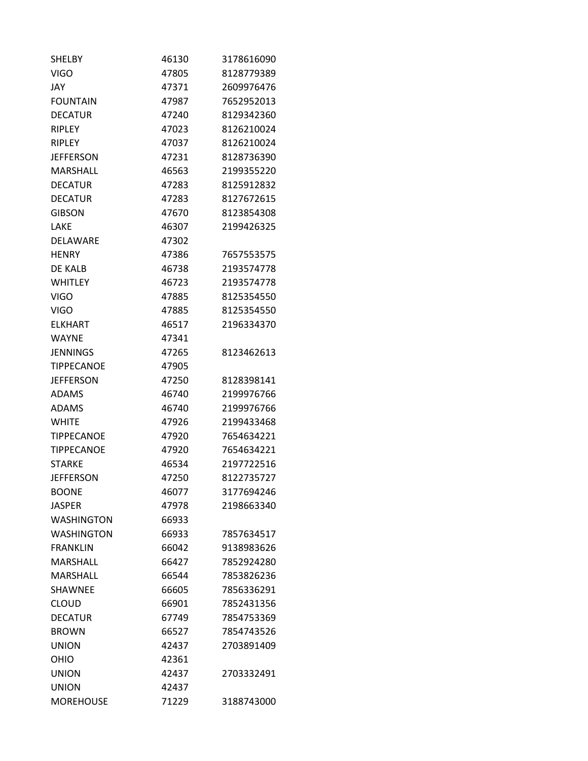| <b>SHELBY</b>     | 46130 | 3178616090 |
|-------------------|-------|------------|
| <b>VIGO</b>       | 47805 | 8128779389 |
| JAY               | 47371 | 2609976476 |
| <b>FOUNTAIN</b>   | 47987 | 7652952013 |
| <b>DECATUR</b>    | 47240 | 8129342360 |
| <b>RIPLEY</b>     | 47023 | 8126210024 |
| <b>RIPLEY</b>     | 47037 | 8126210024 |
| <b>JEFFERSON</b>  | 47231 | 8128736390 |
| <b>MARSHALL</b>   | 46563 | 2199355220 |
| DECATUR           | 47283 | 8125912832 |
| <b>DECATUR</b>    | 47283 | 8127672615 |
| <b>GIBSON</b>     | 47670 | 8123854308 |
| LAKE              | 46307 | 2199426325 |
| DELAWARE          | 47302 |            |
| <b>HENRY</b>      | 47386 | 7657553575 |
| DE KALB           | 46738 | 2193574778 |
| <b>WHITLEY</b>    | 46723 | 2193574778 |
| <b>VIGO</b>       | 47885 | 8125354550 |
| VIGO              | 47885 | 8125354550 |
| ELKHART           | 46517 | 2196334370 |
| <b>WAYNE</b>      | 47341 |            |
| JENNINGS          | 47265 | 8123462613 |
| <b>TIPPECANOE</b> | 47905 |            |
| <b>JEFFERSON</b>  | 47250 | 8128398141 |
| ADAMS             | 46740 | 2199976766 |
| <b>ADAMS</b>      | 46740 | 2199976766 |
| <b>WHITE</b>      | 47926 | 2199433468 |
| <b>TIPPECANOE</b> | 47920 | 7654634221 |
| <b>TIPPECANOE</b> | 47920 | 7654634221 |
| <b>STARKE</b>     | 46534 | 2197722516 |
| <b>JEFFERSON</b>  | 47250 | 8122735727 |
| <b>BOONE</b>      | 46077 | 3177694246 |
| <b>JASPER</b>     | 47978 | 2198663340 |
| <b>WASHINGTON</b> | 66933 |            |
| <b>WASHINGTON</b> | 66933 | 7857634517 |
| <b>FRANKLIN</b>   | 66042 | 9138983626 |
| <b>MARSHALL</b>   | 66427 | 7852924280 |
| <b>MARSHALL</b>   | 66544 | 7853826236 |
| <b>SHAWNEE</b>    | 66605 | 7856336291 |
| <b>CLOUD</b>      | 66901 | 7852431356 |
| <b>DECATUR</b>    | 67749 | 7854753369 |
| <b>BROWN</b>      | 66527 | 7854743526 |
| <b>UNION</b>      | 42437 | 2703891409 |
| OHIO              | 42361 |            |
| <b>UNION</b>      | 42437 | 2703332491 |
| <b>UNION</b>      | 42437 |            |
| <b>MOREHOUSE</b>  | 71229 | 3188743000 |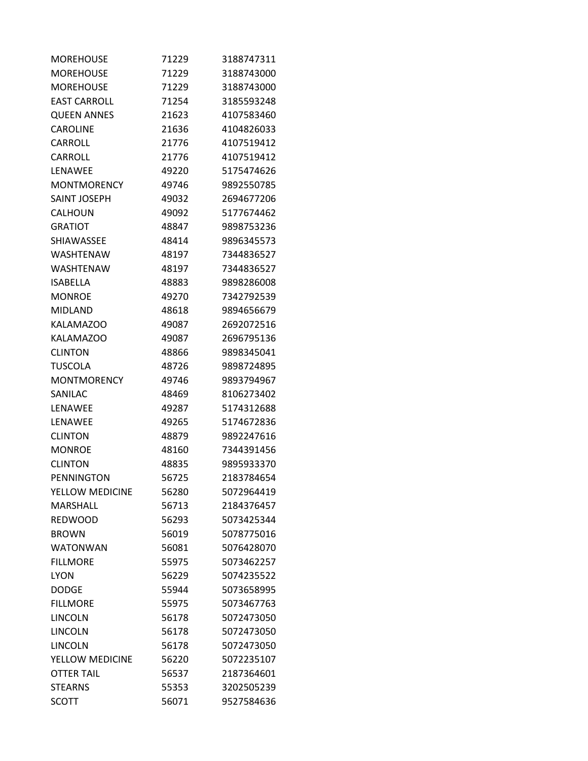| MOREHOUSE           | 71229 | 3188747311 |
|---------------------|-------|------------|
| <b>MOREHOUSE</b>    | 71229 | 3188743000 |
| <b>MOREHOUSE</b>    | 71229 | 3188743000 |
| <b>EAST CARROLL</b> | 71254 | 3185593248 |
| <b>QUEEN ANNES</b>  | 21623 | 4107583460 |
| <b>CAROLINE</b>     | 21636 | 4104826033 |
| CARROLL             | 21776 | 4107519412 |
| CARROLL             | 21776 | 4107519412 |
| LENAWEE             | 49220 | 5175474626 |
| <b>MONTMORENCY</b>  | 49746 | 9892550785 |
| SAINT JOSEPH        | 49032 | 2694677206 |
| CALHOUN             | 49092 | 5177674462 |
| <b>GRATIOT</b>      | 48847 | 9898753236 |
| SHIAWASSEE          | 48414 | 9896345573 |
| <b>WASHTENAW</b>    | 48197 | 7344836527 |
| WASHTENAW           | 48197 | 7344836527 |
| ISABELLA            | 48883 | 9898286008 |
| <b>MONROE</b>       | 49270 | 7342792539 |
| <b>MIDLAND</b>      | 48618 | 9894656679 |
| <b>KALAMAZOO</b>    | 49087 | 2692072516 |
| <b>KALAMAZOO</b>    | 49087 | 2696795136 |
| <b>CLINTON</b>      | 48866 | 9898345041 |
| TUSCOLA             | 48726 | 9898724895 |
| <b>MONTMORENCY</b>  | 49746 | 9893794967 |
| SANILAC             | 48469 | 8106273402 |
| LENAWEE             | 49287 | 5174312688 |
| LENAWEE             | 49265 | 5174672836 |
| <b>CLINTON</b>      | 48879 | 9892247616 |
| <b>MONROE</b>       | 48160 | 7344391456 |
| <b>CLINTON</b>      | 48835 | 9895933370 |
| PENNINGTON          | 56725 | 2183784654 |
| YELLOW MEDICINE     | 56280 | 5072964419 |
| <b>MARSHALL</b>     | 56713 | 2184376457 |
| <b>REDWOOD</b>      | 56293 | 5073425344 |
| <b>BROWN</b>        | 56019 | 5078775016 |
| <b>WATONWAN</b>     | 56081 | 5076428070 |
| <b>FILLMORE</b>     | 55975 | 5073462257 |
| <b>LYON</b>         | 56229 | 5074235522 |
| <b>DODGE</b>        | 55944 | 5073658995 |
| <b>FILLMORE</b>     | 55975 | 5073467763 |
| <b>LINCOLN</b>      | 56178 | 5072473050 |
| <b>LINCOLN</b>      | 56178 | 5072473050 |
| <b>LINCOLN</b>      | 56178 | 5072473050 |
| YELLOW MEDICINE     | 56220 | 5072235107 |
| <b>OTTER TAIL</b>   | 56537 | 2187364601 |
| <b>STEARNS</b>      | 55353 | 3202505239 |
| <b>SCOTT</b>        | 56071 | 9527584636 |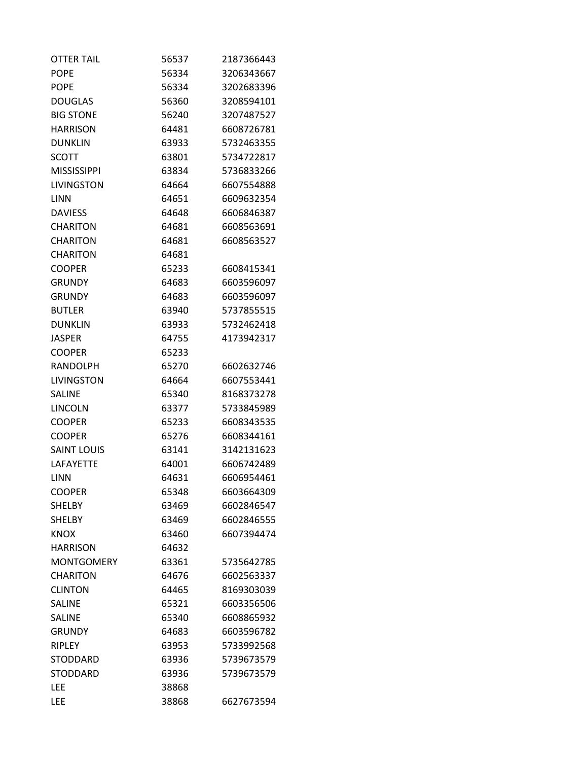| <b>OTTER TAIL</b>  | 56537 | 2187366443 |
|--------------------|-------|------------|
| <b>POPE</b>        | 56334 | 3206343667 |
| <b>POPE</b>        | 56334 | 3202683396 |
| <b>DOUGLAS</b>     | 56360 | 3208594101 |
| <b>BIG STONE</b>   | 56240 | 3207487527 |
| <b>HARRISON</b>    | 64481 | 6608726781 |
| <b>DUNKLIN</b>     | 63933 | 5732463355 |
| SCOTT              | 63801 | 5734722817 |
| <b>MISSISSIPPI</b> | 63834 | 5736833266 |
| <b>LIVINGSTON</b>  | 64664 | 6607554888 |
| LINN               | 64651 | 6609632354 |
| <b>DAVIESS</b>     | 64648 | 6606846387 |
| <b>CHARITON</b>    | 64681 | 6608563691 |
| <b>CHARITON</b>    | 64681 | 6608563527 |
| <b>CHARITON</b>    | 64681 |            |
| <b>COOPER</b>      | 65233 | 6608415341 |
| <b>GRUNDY</b>      | 64683 | 6603596097 |
| <b>GRUNDY</b>      | 64683 | 6603596097 |
| <b>BUTLER</b>      | 63940 | 5737855515 |
| <b>DUNKLIN</b>     | 63933 | 5732462418 |
| JASPER             | 64755 | 4173942317 |
| <b>COOPER</b>      | 65233 |            |
| <b>RANDOLPH</b>    | 65270 | 6602632746 |
| <b>LIVINGSTON</b>  | 64664 | 6607553441 |
| <b>SALINE</b>      | 65340 | 8168373278 |
| <b>LINCOLN</b>     | 63377 | 5733845989 |
| <b>COOPER</b>      | 65233 | 6608343535 |
| <b>COOPER</b>      | 65276 | 6608344161 |
| <b>SAINT LOUIS</b> | 63141 | 3142131623 |
| <b>LAFAYETTE</b>   | 64001 | 6606742489 |
| <b>LINN</b>        | 64631 | 6606954461 |
| <b>COOPER</b>      | 65348 | 6603664309 |
| <b>SHELBY</b>      | 63469 | 6602846547 |
| <b>SHELBY</b>      | 63469 | 6602846555 |
| <b>KNOX</b>        | 63460 | 6607394474 |
| <b>HARRISON</b>    | 64632 |            |
| <b>MONTGOMERY</b>  | 63361 | 5735642785 |
| <b>CHARITON</b>    | 64676 | 6602563337 |
| <b>CLINTON</b>     | 64465 | 8169303039 |
| <b>SALINE</b>      | 65321 | 6603356506 |
| <b>SALINE</b>      | 65340 | 6608865932 |
| <b>GRUNDY</b>      | 64683 | 6603596782 |
| <b>RIPLEY</b>      | 63953 | 5733992568 |
| <b>STODDARD</b>    | 63936 | 5739673579 |
| <b>STODDARD</b>    | 63936 | 5739673579 |
| LEE                | 38868 |            |
| LEE                | 38868 | 6627673594 |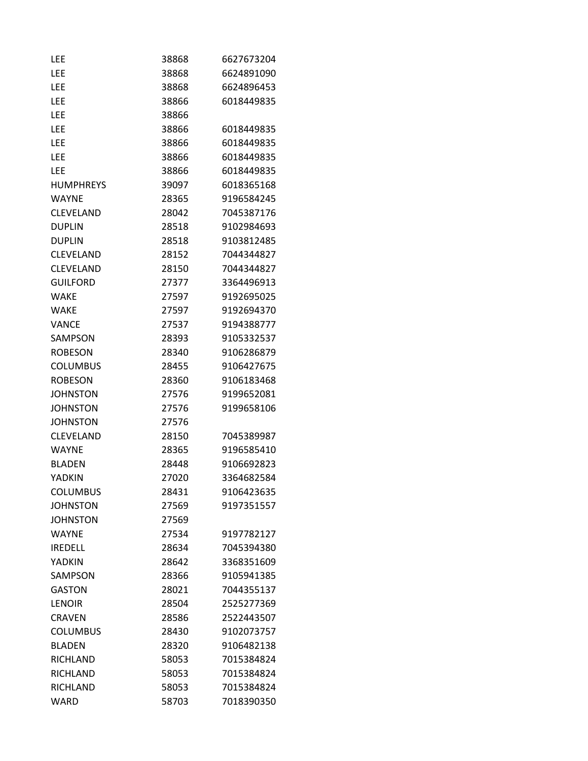| LEE              | 38868 | 6627673204 |
|------------------|-------|------------|
| LEE              | 38868 | 6624891090 |
| LEE              | 38868 | 6624896453 |
| LEE              | 38866 | 6018449835 |
| LEE              | 38866 |            |
| LEE              | 38866 | 6018449835 |
| LEE              | 38866 | 6018449835 |
| <b>LEE</b>       | 38866 | 6018449835 |
| LEE              | 38866 | 6018449835 |
| <b>HUMPHREYS</b> | 39097 | 6018365168 |
| <b>WAYNE</b>     | 28365 | 9196584245 |
| <b>CLEVELAND</b> | 28042 | 7045387176 |
| <b>DUPLIN</b>    | 28518 | 9102984693 |
| <b>DUPLIN</b>    | 28518 | 9103812485 |
| <b>CLEVELAND</b> | 28152 | 7044344827 |
| CLEVELAND        | 28150 | 7044344827 |
| <b>GUILFORD</b>  | 27377 | 3364496913 |
| <b>WAKE</b>      | 27597 | 9192695025 |
| <b>WAKE</b>      | 27597 | 9192694370 |
| VANCE            | 27537 | 9194388777 |
| SAMPSON          | 28393 | 9105332537 |
| <b>ROBESON</b>   | 28340 | 9106286879 |
| <b>COLUMBUS</b>  | 28455 | 9106427675 |
| <b>ROBESON</b>   | 28360 | 9106183468 |
| <b>JOHNSTON</b>  | 27576 | 9199652081 |
| <b>JOHNSTON</b>  | 27576 | 9199658106 |
| <b>JOHNSTON</b>  | 27576 |            |
| <b>CLEVELAND</b> | 28150 | 7045389987 |
| <b>WAYNE</b>     | 28365 | 9196585410 |
| <b>BLADEN</b>    | 28448 | 9106692823 |
| YADKIN           | 27020 | 3364682584 |
| <b>COLUMBUS</b>  | 28431 | 9106423635 |
| <b>JOHNSTON</b>  | 27569 | 9197351557 |
| <b>JOHNSTON</b>  | 27569 |            |
| <b>WAYNE</b>     | 27534 | 9197782127 |
| <b>IREDELL</b>   | 28634 | 7045394380 |
| <b>YADKIN</b>    | 28642 | 3368351609 |
| SAMPSON          | 28366 | 9105941385 |
| <b>GASTON</b>    | 28021 | 7044355137 |
| <b>LENOIR</b>    | 28504 | 2525277369 |
| <b>CRAVEN</b>    | 28586 | 2522443507 |
| <b>COLUMBUS</b>  | 28430 | 9102073757 |
| <b>BLADEN</b>    | 28320 | 9106482138 |
| RICHLAND         | 58053 | 7015384824 |
| RICHLAND         | 58053 | 7015384824 |
| RICHLAND         | 58053 | 7015384824 |
| <b>WARD</b>      | 58703 | 7018390350 |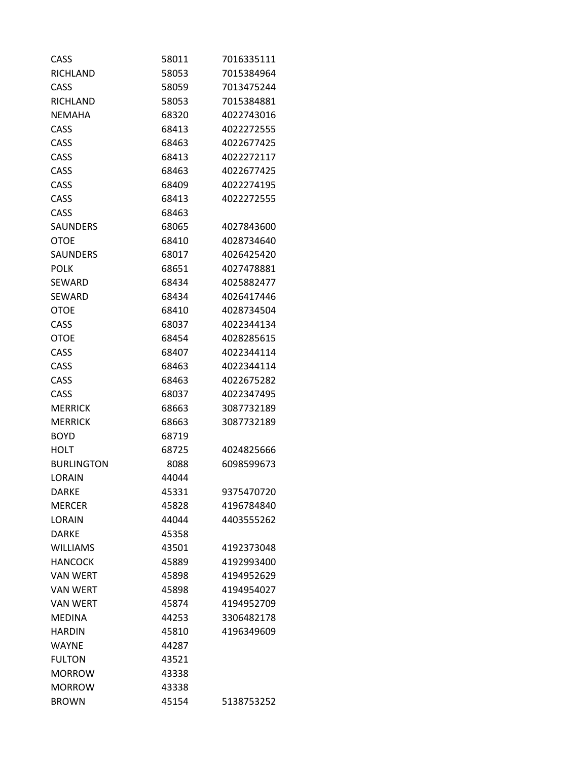| CASS              | 58011 | 7016335111 |
|-------------------|-------|------------|
| RICHLAND          | 58053 | 7015384964 |
| CASS              | 58059 | 7013475244 |
| RICHLAND          | 58053 | 7015384881 |
| <b>NEMAHA</b>     | 68320 | 4022743016 |
| CASS              | 68413 | 4022272555 |
| CASS              | 68463 | 4022677425 |
| CASS              | 68413 | 4022272117 |
| CASS              | 68463 | 4022677425 |
| CASS              | 68409 | 4022274195 |
| CASS              | 68413 | 4022272555 |
| CASS              | 68463 |            |
| <b>SAUNDERS</b>   | 68065 | 4027843600 |
| <b>OTOE</b>       | 68410 | 4028734640 |
| <b>SAUNDERS</b>   | 68017 | 4026425420 |
| <b>POLK</b>       | 68651 | 4027478881 |
| <b>SEWARD</b>     | 68434 | 4025882477 |
| <b>SEWARD</b>     | 68434 | 4026417446 |
| <b>OTOE</b>       | 68410 | 4028734504 |
| CASS              | 68037 | 4022344134 |
| <b>OTOE</b>       | 68454 | 4028285615 |
| CASS              | 68407 | 4022344114 |
| CASS              | 68463 | 4022344114 |
| CASS              | 68463 | 4022675282 |
| CASS              | 68037 | 4022347495 |
| <b>MERRICK</b>    | 68663 | 3087732189 |
| MERRICK           | 68663 | 3087732189 |
| <b>BOYD</b>       | 68719 |            |
| HOLT              | 68725 | 4024825666 |
| <b>BURLINGTON</b> | 8088  | 6098599673 |
| LORAIN            | 44044 |            |
| DARKE             | 45331 | 9375470720 |
| <b>MERCER</b>     | 45828 | 4196784840 |
| LORAIN            | 44044 | 4403555262 |
| <b>DARKE</b>      | 45358 |            |
| <b>WILLIAMS</b>   | 43501 | 4192373048 |
| <b>HANCOCK</b>    | 45889 | 4192993400 |
| <b>VAN WERT</b>   | 45898 | 4194952629 |
| <b>VAN WERT</b>   | 45898 | 4194954027 |
| <b>VAN WERT</b>   | 45874 | 4194952709 |
| <b>MEDINA</b>     | 44253 | 3306482178 |
| <b>HARDIN</b>     | 45810 | 4196349609 |
| <b>WAYNE</b>      | 44287 |            |
| <b>FULTON</b>     | 43521 |            |
| <b>MORROW</b>     | 43338 |            |
| <b>MORROW</b>     | 43338 |            |
| <b>BROWN</b>      | 45154 | 5138753252 |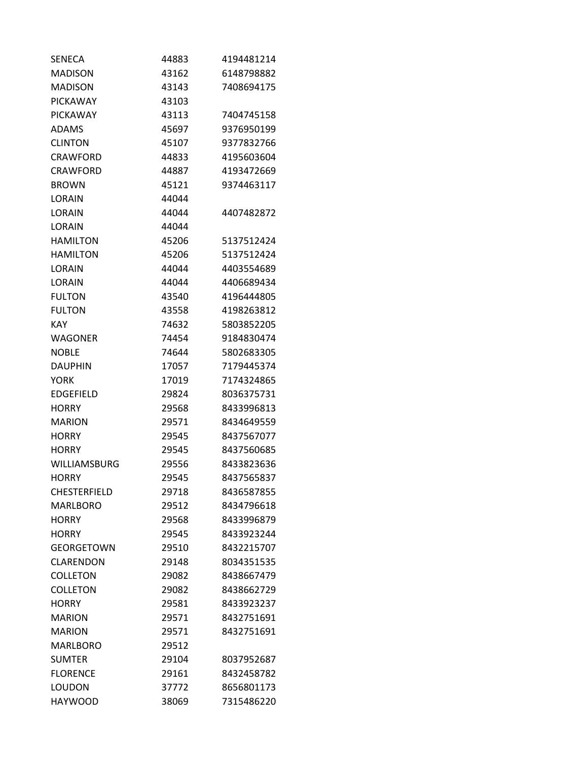| SENECA              | 44883 | 4194481214 |
|---------------------|-------|------------|
| <b>MADISON</b>      | 43162 | 6148798882 |
| <b>MADISON</b>      | 43143 | 7408694175 |
| <b>PICKAWAY</b>     | 43103 |            |
| PICKAWAY            | 43113 | 7404745158 |
| ADAMS               | 45697 | 9376950199 |
| <b>CLINTON</b>      | 45107 | 9377832766 |
| <b>CRAWFORD</b>     | 44833 | 4195603604 |
| <b>CRAWFORD</b>     | 44887 | 4193472669 |
| <b>BROWN</b>        | 45121 | 9374463117 |
| LORAIN              | 44044 |            |
| LORAIN              | 44044 | 4407482872 |
| LORAIN              | 44044 |            |
| <b>HAMILTON</b>     | 45206 | 5137512424 |
| <b>HAMILTON</b>     | 45206 | 5137512424 |
| LORAIN              | 44044 | 4403554689 |
| LORAIN              | 44044 | 4406689434 |
| <b>FULTON</b>       | 43540 | 4196444805 |
| <b>FULTON</b>       | 43558 | 4198263812 |
| <b>KAY</b>          | 74632 | 5803852205 |
| <b>WAGONER</b>      | 74454 | 9184830474 |
| <b>NOBLE</b>        | 74644 | 5802683305 |
| <b>DAUPHIN</b>      | 17057 | 7179445374 |
| YORK                | 17019 | 7174324865 |
| <b>EDGEFIELD</b>    | 29824 | 8036375731 |
| <b>HORRY</b>        | 29568 | 8433996813 |
| <b>MARION</b>       | 29571 | 8434649559 |
| <b>HORRY</b>        | 29545 | 8437567077 |
| <b>HORRY</b>        | 29545 | 8437560685 |
| WILLIAMSBURG        | 29556 | 8433823636 |
| HORRY               | 29545 | 8437565837 |
| <b>CHESTERFIELD</b> | 29718 | 8436587855 |
| <b>MARLBORO</b>     | 29512 | 8434796618 |
| <b>HORRY</b>        | 29568 | 8433996879 |
| <b>HORRY</b>        | 29545 | 8433923244 |
| <b>GEORGETOWN</b>   | 29510 | 8432215707 |
| CLARENDON           | 29148 | 8034351535 |
| <b>COLLETON</b>     | 29082 | 8438667479 |
| <b>COLLETON</b>     | 29082 | 8438662729 |
| <b>HORRY</b>        | 29581 | 8433923237 |
| <b>MARION</b>       | 29571 | 8432751691 |
| <b>MARION</b>       | 29571 | 8432751691 |
| <b>MARLBORO</b>     | 29512 |            |
| <b>SUMTER</b>       | 29104 | 8037952687 |
| <b>FLORENCE</b>     | 29161 | 8432458782 |
| <b>LOUDON</b>       | 37772 | 8656801173 |
| <b>HAYWOOD</b>      | 38069 | 7315486220 |